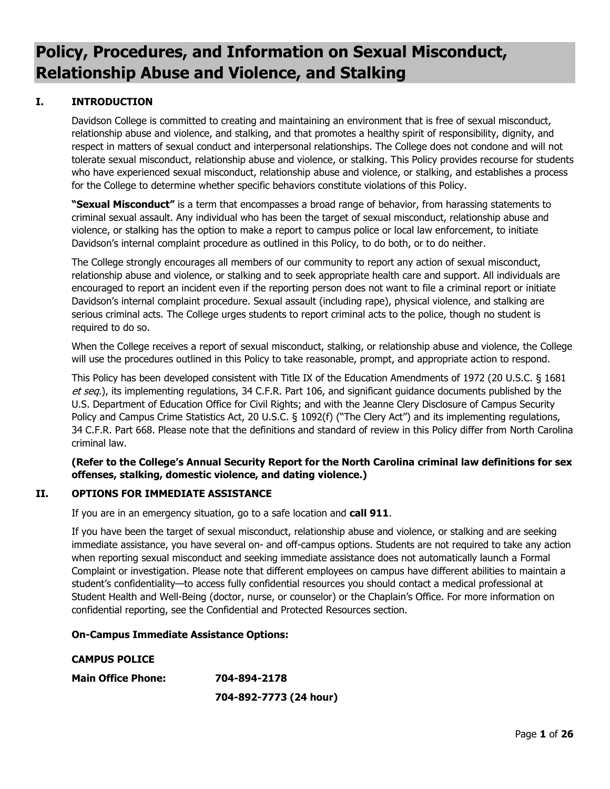# **Policy, Procedures, and Information on Sexual Misconduct, Relationship Abuse and Violence, and Stalking**

# **I. INTRODUCTION**

Davidson College is committed to creating and maintaining an environment that is free of sexual misconduct, relationship abuse and violence, and stalking, and that promotes a healthy spirit of responsibility, dignity, and respect in matters of sexual conduct and interpersonal relationships. The College does not condone and will not tolerate sexual misconduct, relationship abuse and violence, or stalking. This Policy provides recourse for students who have experienced sexual misconduct, relationship abuse and violence, or stalking, and establishes a process for the College to determine whether specific behaviors constitute violations of this Policy.

**"Sexual Misconduct"** is a term that encompasses a broad range of behavior, from harassing statements to criminal sexual assault. Any individual who has been the target of sexual misconduct, relationship abuse and violence, or stalking has the option to make a report to campus police or local law enforcement, to initiate Davidson's internal complaint procedure as outlined in this Policy, to do both, or to do neither.

The College strongly encourages all members of our community to report any action of sexual misconduct, relationship abuse and violence, or stalking and to seek appropriate health care and support. All individuals are encouraged to report an incident even if the reporting person does not want to file a criminal report or initiate Davidson's internal complaint procedure. Sexual assault (including rape), physical violence, and stalking are serious criminal acts. The College urges students to report criminal acts to the police, though no student is required to do so.

When the College receives a report of sexual misconduct, stalking, or relationship abuse and violence, the College will use the procedures outlined in this Policy to take reasonable, prompt, and appropriate action to respond.

This Policy has been developed consistent with Title IX of the Education Amendments of 1972 (20 U.S.C. § 1681 et seq.), its implementing regulations, 34 C.F.R. Part 106, and significant guidance documents published by the U.S. Department of Education Office for Civil Rights; and with the Jeanne Clery Disclosure of Campus Security Policy and Campus Crime Statistics Act, 20 U.S.C. § 1092(f) ("The Clery Act") and its implementing regulations, 34 C.F.R. Part 668. Please note that the definitions and standard of review in this Policy differ from North Carolina criminal law.

# **(Refer to the College's Annual Security Report for the North Carolina criminal law definitions for sex offenses, stalking, domestic violence, and dating violence.)**

## **II. OPTIONS FOR IMMEDIATE ASSISTANCE**

If you are in an emergency situation, go to a safe location and **call 911**.

If you have been the target of sexual misconduct, relationship abuse and violence, or stalking and are seeking immediate assistance, you have several on- and off-campus options. Students are not required to take any action when reporting sexual misconduct and seeking immediate assistance does not automatically launch a Formal Complaint or investigation. Please note that different employees on campus have different abilities to maintain a student's confidentiality—to access fully confidential resources you should contact a medical professional at Student Health and Well-Being (doctor, nurse, or counselor) or the Chaplain's Office. For more information on confidential reporting, see the Confidential and Protected Resources section.

## **On-Campus Immediate Assistance Options:**

## **CAMPUS POLICE**

**Main Office Phone: 704-894-2178**

**704-892-7773 (24 hour)**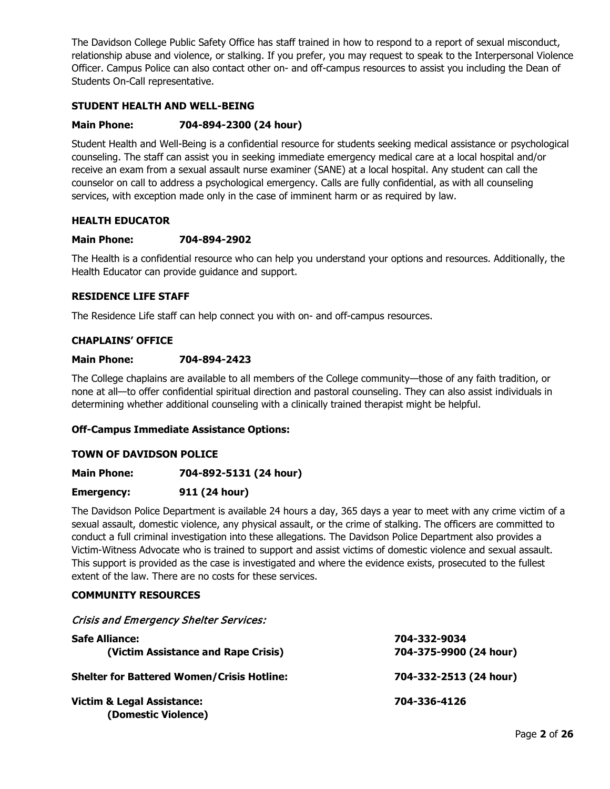The Davidson College Public Safety Office has staff trained in how to respond to a report of sexual misconduct, relationship abuse and violence, or stalking. If you prefer, you may request to speak to the Interpersonal Violence Officer. Campus Police can also contact other on- and off-campus resources to assist you including the Dean of Students On-Call representative.

# **STUDENT HEALTH AND WELL-BEING**

## **Main Phone: 704-894-2300 (24 hour)**

Student Health and Well-Being is a confidential resource for students seeking medical assistance or psychological counseling. The staff can assist you in seeking immediate emergency medical care at a local hospital and/or receive an exam from a sexual assault nurse examiner (SANE) at a local hospital. Any student can call the counselor on call to address a psychological emergency. Calls are fully confidential, as with all counseling services, with exception made only in the case of imminent harm or as required by law.

#### **HEALTH EDUCATOR**

#### **Main Phone: 704-894-2902**

The Health is a confidential resource who can help you understand your options and resources. Additionally, the Health Educator can provide guidance and support.

## **RESIDENCE LIFE STAFF**

The Residence Life staff can help connect you with on- and off-campus resources.

#### **CHAPLAINS' OFFICE**

#### **Main Phone: 704-894-2423**

The College chaplains are available to all members of the College community—those of any faith tradition, or none at all—to offer confidential spiritual direction and pastoral counseling. They can also assist individuals in determining whether additional counseling with a clinically trained therapist might be helpful.

#### **Off-Campus Immediate Assistance Options:**

#### **TOWN OF DAVIDSON POLICE**

**Main Phone: 704-892-5131 (24 hour)**

#### **Emergency: 911 (24 hour)**

The Davidson Police Department is available 24 hours a day, 365 days a year to meet with any crime victim of a sexual assault, domestic violence, any physical assault, or the crime of stalking. The officers are committed to conduct a full criminal investigation into these allegations. The Davidson Police Department also provides a Victim-Witness Advocate who is trained to support and assist victims of domestic violence and sexual assault. This support is provided as the case is investigated and where the evidence exists, prosecuted to the fullest extent of the law. There are no costs for these services.

#### **COMMUNITY RESOURCES**

#### Crisis and Emergency Shelter Services:

| <b>Safe Alliance:</b><br>(Victim Assistance and Rape Crisis) | 704-332-9034<br>704-375-9900 (24 hour) |
|--------------------------------------------------------------|----------------------------------------|
| <b>Shelter for Battered Women/Crisis Hotline:</b>            | 704-332-2513 (24 hour)                 |
| <b>Victim &amp; Legal Assistance:</b><br>(Domestic Violence) | 704-336-4126                           |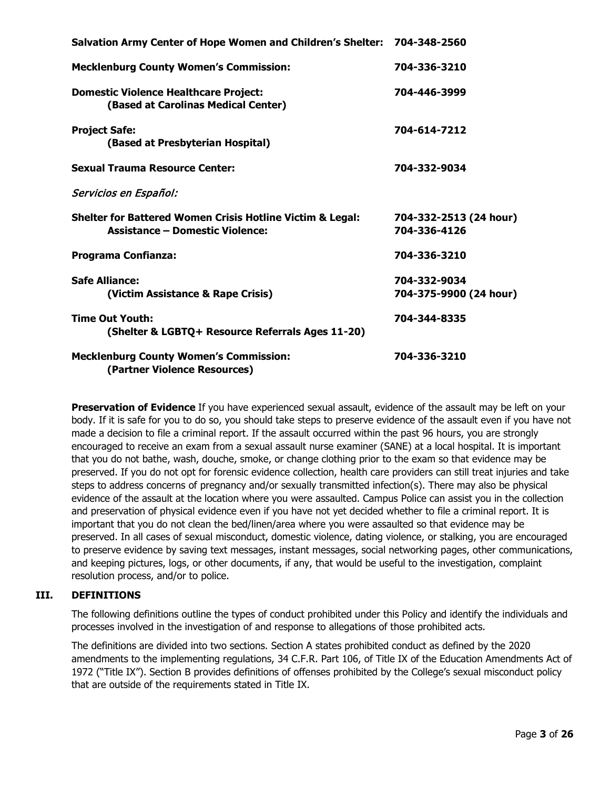| Salvation Army Center of Hope Women and Children's Shelter: 704-348-2560                                       |                                        |
|----------------------------------------------------------------------------------------------------------------|----------------------------------------|
| <b>Mecklenburg County Women's Commission:</b>                                                                  | 704-336-3210                           |
| <b>Domestic Violence Healthcare Project:</b><br>(Based at Carolinas Medical Center)                            | 704-446-3999                           |
| <b>Project Safe:</b><br>(Based at Presbyterian Hospital)                                                       | 704-614-7212                           |
| <b>Sexual Trauma Resource Center:</b>                                                                          | 704-332-9034                           |
| Servicios en Español:                                                                                          |                                        |
| <b>Shelter for Battered Women Crisis Hotline Victim &amp; Legal:</b><br><b>Assistance - Domestic Violence:</b> | 704-332-2513 (24 hour)<br>704-336-4126 |
| <b>Programa Confianza:</b>                                                                                     | 704-336-3210                           |
| <b>Safe Alliance:</b><br>(Victim Assistance & Rape Crisis)                                                     | 704-332-9034<br>704-375-9900 (24 hour) |
| <b>Time Out Youth:</b><br>(Shelter & LGBTQ+ Resource Referrals Ages 11-20)                                     | 704-344-8335                           |
| <b>Mecklenburg County Women's Commission:</b><br>(Partner Violence Resources)                                  | 704-336-3210                           |

**Preservation of Evidence** If you have experienced sexual assault, evidence of the assault may be left on your body. If it is safe for you to do so, you should take steps to preserve evidence of the assault even if you have not made a decision to file a criminal report. If the assault occurred within the past 96 hours, you are strongly encouraged to receive an exam from a sexual assault nurse examiner (SANE) at a local hospital. It is important that you do not bathe, wash, douche, smoke, or change clothing prior to the exam so that evidence may be preserved. If you do not opt for forensic evidence collection, health care providers can still treat injuries and take steps to address concerns of pregnancy and/or sexually transmitted infection(s). There may also be physical evidence of the assault at the location where you were assaulted. Campus Police can assist you in the collection and preservation of physical evidence even if you have not yet decided whether to file a criminal report. It is important that you do not clean the bed/linen/area where you were assaulted so that evidence may be preserved. In all cases of sexual misconduct, domestic violence, dating violence, or stalking, you are encouraged to preserve evidence by saving text messages, instant messages, social networking pages, other communications, and keeping pictures, logs, or other documents, if any, that would be useful to the investigation, complaint resolution process, and/or to police.

# **III. DEFINITIONS**

The following definitions outline the types of conduct prohibited under this Policy and identify the individuals and processes involved in the investigation of and response to allegations of those prohibited acts.

The definitions are divided into two sections. Section A states prohibited conduct as defined by the 2020 amendments to the implementing regulations, 34 C.F.R. Part 106, of Title IX of the Education Amendments Act of 1972 ("Title IX"). Section B provides definitions of offenses prohibited by the College's sexual misconduct policy that are outside of the requirements stated in Title IX.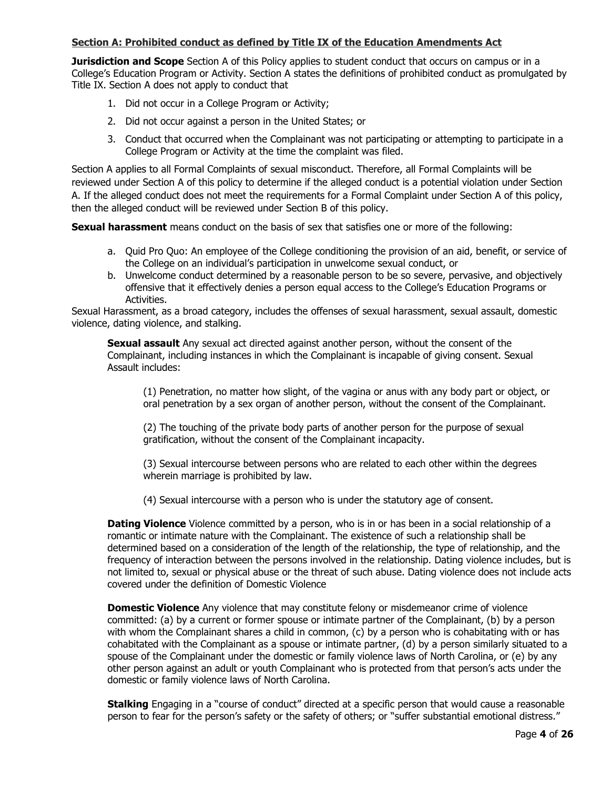#### **Section A: Prohibited conduct as defined by Title IX of the Education Amendments Act**

**Jurisdiction and Scope** Section A of this Policy applies to student conduct that occurs on campus or in a College's Education Program or Activity. Section A states the definitions of prohibited conduct as promulgated by Title IX. Section A does not apply to conduct that

- 1. Did not occur in a College Program or Activity;
- 2. Did not occur against a person in the United States; or
- 3. Conduct that occurred when the Complainant was not participating or attempting to participate in a College Program or Activity at the time the complaint was filed.

Section A applies to all Formal Complaints of sexual misconduct. Therefore, all Formal Complaints will be reviewed under Section A of this policy to determine if the alleged conduct is a potential violation under Section A. If the alleged conduct does not meet the requirements for a Formal Complaint under Section A of this policy, then the alleged conduct will be reviewed under Section B of this policy.

**Sexual harassment** means conduct on the basis of sex that satisfies one or more of the following:

- a. Quid Pro Quo: An employee of the College conditioning the provision of an aid, benefit, or service of the College on an individual's participation in unwelcome sexual conduct, or
- b. Unwelcome conduct determined by a reasonable person to be so severe, pervasive, and objectively offensive that it effectively denies a person equal access to the College's Education Programs or Activities.

Sexual Harassment, as a broad category, includes the offenses of sexual harassment, sexual assault, domestic violence, dating violence, and stalking.

**Sexual assault** Any sexual act directed against another person, without the consent of the Complainant, including instances in which the Complainant is incapable of giving consent. Sexual Assault includes:

(1) Penetration, no matter how slight, of the vagina or anus with any body part or object, or oral penetration by a sex organ of another person, without the consent of the Complainant.

(2) The touching of the private body parts of another person for the purpose of sexual gratification, without the consent of the Complainant incapacity.

(3) Sexual intercourse between persons who are related to each other within the degrees wherein marriage is prohibited by law.

(4) Sexual intercourse with a person who is under the statutory age of consent.

**Dating Violence** Violence committed by a person, who is in or has been in a social relationship of a romantic or intimate nature with the Complainant. The existence of such a relationship shall be determined based on a consideration of the length of the relationship, the type of relationship, and the frequency of interaction between the persons involved in the relationship. Dating violence includes, but is not limited to, sexual or physical abuse or the threat of such abuse. Dating violence does not include acts covered under the definition of Domestic Violence

**Domestic Violence** Any violence that may constitute felony or misdemeanor crime of violence committed: (a) by a current or former spouse or intimate partner of the Complainant, (b) by a person with whom the Complainant shares a child in common, (c) by a person who is cohabitating with or has cohabitated with the Complainant as a spouse or intimate partner, (d) by a person similarly situated to a spouse of the Complainant under the domestic or family violence laws of North Carolina, or (e) by any other person against an adult or youth Complainant who is protected from that person's acts under the domestic or family violence laws of North Carolina.

**Stalking** Engaging in a "course of conduct" directed at a specific person that would cause a reasonable person to fear for the person's safety or the safety of others; or "suffer substantial emotional distress."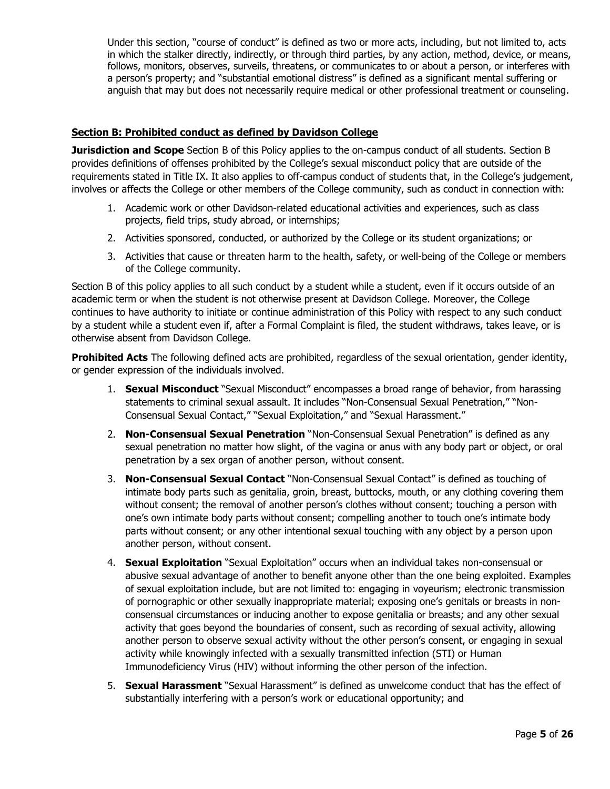Under this section, "course of conduct" is defined as two or more acts, including, but not limited to, acts in which the stalker directly, indirectly, or through third parties, by any action, method, device, or means, follows, monitors, observes, surveils, threatens, or communicates to or about a person, or interferes with a person's property; and "substantial emotional distress" is defined as a significant mental suffering or anguish that may but does not necessarily require medical or other professional treatment or counseling.

## **Section B: Prohibited conduct as defined by Davidson College**

**Jurisdiction and Scope** Section B of this Policy applies to the on-campus conduct of all students. Section B provides definitions of offenses prohibited by the College's sexual misconduct policy that are outside of the requirements stated in Title IX. It also applies to off-campus conduct of students that, in the College's judgement, involves or affects the College or other members of the College community, such as conduct in connection with:

- 1. Academic work or other Davidson-related educational activities and experiences, such as class projects, field trips, study abroad, or internships;
- 2. Activities sponsored, conducted, or authorized by the College or its student organizations; or
- 3. Activities that cause or threaten harm to the health, safety, or well-being of the College or members of the College community.

Section B of this policy applies to all such conduct by a student while a student, even if it occurs outside of an academic term or when the student is not otherwise present at Davidson College. Moreover, the College continues to have authority to initiate or continue administration of this Policy with respect to any such conduct by a student while a student even if, after a Formal Complaint is filed, the student withdraws, takes leave, or is otherwise absent from Davidson College.

**Prohibited Acts** The following defined acts are prohibited, regardless of the sexual orientation, gender identity, or gender expression of the individuals involved.

- 1. **Sexual Misconduct** "Sexual Misconduct" encompasses a broad range of behavior, from harassing statements to criminal sexual assault. It includes "Non-Consensual Sexual Penetration," "Non-Consensual Sexual Contact," "Sexual Exploitation," and "Sexual Harassment."
- 2. **Non-Consensual Sexual Penetration** "Non-Consensual Sexual Penetration" is defined as any sexual penetration no matter how slight, of the vagina or anus with any body part or object, or oral penetration by a sex organ of another person, without consent.
- 3. **Non-Consensual Sexual Contact** "Non-Consensual Sexual Contact" is defined as touching of intimate body parts such as genitalia, groin, breast, buttocks, mouth, or any clothing covering them without consent; the removal of another person's clothes without consent; touching a person with one's own intimate body parts without consent; compelling another to touch one's intimate body parts without consent; or any other intentional sexual touching with any object by a person upon another person, without consent.
- 4. **Sexual Exploitation** "Sexual Exploitation" occurs when an individual takes non-consensual or abusive sexual advantage of another to benefit anyone other than the one being exploited. Examples of sexual exploitation include, but are not limited to: engaging in voyeurism; electronic transmission of pornographic or other sexually inappropriate material; exposing one's genitals or breasts in nonconsensual circumstances or inducing another to expose genitalia or breasts; and any other sexual activity that goes beyond the boundaries of consent, such as recording of sexual activity, allowing another person to observe sexual activity without the other person's consent, or engaging in sexual activity while knowingly infected with a sexually transmitted infection (STI) or Human Immunodeficiency Virus (HIV) without informing the other person of the infection.
- 5. **Sexual Harassment** "Sexual Harassment" is defined as unwelcome conduct that has the effect of substantially interfering with a person's work or educational opportunity; and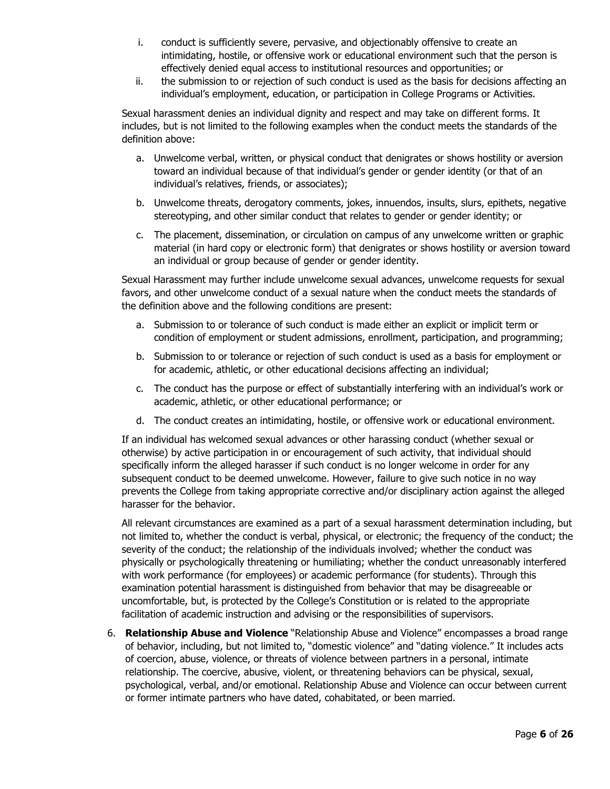- i. conduct is sufficiently severe, pervasive, and objectionably offensive to create an intimidating, hostile, or offensive work or educational environment such that the person is effectively denied equal access to institutional resources and opportunities; or
- ii. the submission to or rejection of such conduct is used as the basis for decisions affecting an individual's employment, education, or participation in College Programs or Activities.

Sexual harassment denies an individual dignity and respect and may take on different forms. It includes, but is not limited to the following examples when the conduct meets the standards of the definition above:

- a. Unwelcome verbal, written, or physical conduct that denigrates or shows hostility or aversion toward an individual because of that individual's gender or gender identity (or that of an individual's relatives, friends, or associates);
- b. Unwelcome threats, derogatory comments, jokes, innuendos, insults, slurs, epithets, negative stereotyping, and other similar conduct that relates to gender or gender identity; or
- c. The placement, dissemination, or circulation on campus of any unwelcome written or graphic material (in hard copy or electronic form) that denigrates or shows hostility or aversion toward an individual or group because of gender or gender identity.

Sexual Harassment may further include unwelcome sexual advances, unwelcome requests for sexual favors, and other unwelcome conduct of a sexual nature when the conduct meets the standards of the definition above and the following conditions are present:

- a. Submission to or tolerance of such conduct is made either an explicit or implicit term or condition of employment or student admissions, enrollment, participation, and programming;
- b. Submission to or tolerance or rejection of such conduct is used as a basis for employment or for academic, athletic, or other educational decisions affecting an individual;
- c. The conduct has the purpose or effect of substantially interfering with an individual's work or academic, athletic, or other educational performance; or
- d. The conduct creates an intimidating, hostile, or offensive work or educational environment.

If an individual has welcomed sexual advances or other harassing conduct (whether sexual or otherwise) by active participation in or encouragement of such activity, that individual should specifically inform the alleged harasser if such conduct is no longer welcome in order for any subsequent conduct to be deemed unwelcome. However, failure to give such notice in no way prevents the College from taking appropriate corrective and/or disciplinary action against the alleged harasser for the behavior.

All relevant circumstances are examined as a part of a sexual harassment determination including, but not limited to, whether the conduct is verbal, physical, or electronic; the frequency of the conduct; the severity of the conduct; the relationship of the individuals involved; whether the conduct was physically or psychologically threatening or humiliating; whether the conduct unreasonably interfered with work performance (for employees) or academic performance (for students). Through this examination potential harassment is distinguished from behavior that may be disagreeable or uncomfortable, but, is protected by the College's Constitution or is related to the appropriate facilitation of academic instruction and advising or the responsibilities of supervisors.

6. **Relationship Abuse and Violence** "Relationship Abuse and Violence" encompasses a broad range of behavior, including, but not limited to, "domestic violence" and "dating violence." It includes acts of coercion, abuse, violence, or threats of violence between partners in a personal, intimate relationship. The coercive, abusive, violent, or threatening behaviors can be physical, sexual, psychological, verbal, and/or emotional. Relationship Abuse and Violence can occur between current or former intimate partners who have dated, cohabitated, or been married.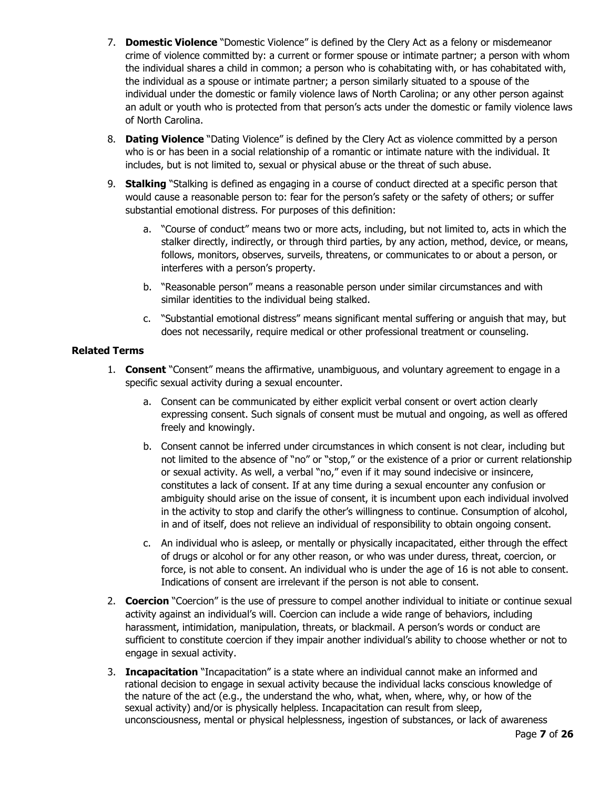- 7. **Domestic Violence** "Domestic Violence" is defined by the Clery Act as a felony or misdemeanor crime of violence committed by: a current or former spouse or intimate partner; a person with whom the individual shares a child in common; a person who is cohabitating with, or has cohabitated with, the individual as a spouse or intimate partner; a person similarly situated to a spouse of the individual under the domestic or family violence laws of North Carolina; or any other person against an adult or youth who is protected from that person's acts under the domestic or family violence laws of North Carolina.
- 8. **Dating Violence** "Dating Violence" is defined by the Clery Act as violence committed by a person who is or has been in a social relationship of a romantic or intimate nature with the individual. It includes, but is not limited to, sexual or physical abuse or the threat of such abuse.
- 9. **Stalking** "Stalking is defined as engaging in a course of conduct directed at a specific person that would cause a reasonable person to: fear for the person's safety or the safety of others; or suffer substantial emotional distress. For purposes of this definition:
	- a. "Course of conduct" means two or more acts, including, but not limited to, acts in which the stalker directly, indirectly, or through third parties, by any action, method, device, or means, follows, monitors, observes, surveils, threatens, or communicates to or about a person, or interferes with a person's property.
	- b. "Reasonable person" means a reasonable person under similar circumstances and with similar identities to the individual being stalked.
	- c. "Substantial emotional distress" means significant mental suffering or anguish that may, but does not necessarily, require medical or other professional treatment or counseling.

# **Related Terms**

- 1. **Consent** "Consent" means the affirmative, unambiguous, and voluntary agreement to engage in a specific sexual activity during a sexual encounter.
	- a. Consent can be communicated by either explicit verbal consent or overt action clearly expressing consent. Such signals of consent must be mutual and ongoing, as well as offered freely and knowingly.
	- b. Consent cannot be inferred under circumstances in which consent is not clear, including but not limited to the absence of "no" or "stop," or the existence of a prior or current relationship or sexual activity. As well, a verbal "no," even if it may sound indecisive or insincere, constitutes a lack of consent. If at any time during a sexual encounter any confusion or ambiguity should arise on the issue of consent, it is incumbent upon each individual involved in the activity to stop and clarify the other's willingness to continue. Consumption of alcohol, in and of itself, does not relieve an individual of responsibility to obtain ongoing consent.
	- c. An individual who is asleep, or mentally or physically incapacitated, either through the effect of drugs or alcohol or for any other reason, or who was under duress, threat, coercion, or force, is not able to consent. An individual who is under the age of 16 is not able to consent. Indications of consent are irrelevant if the person is not able to consent.
- 2. **Coercion** "Coercion" is the use of pressure to compel another individual to initiate or continue sexual activity against an individual's will. Coercion can include a wide range of behaviors, including harassment, intimidation, manipulation, threats, or blackmail. A person's words or conduct are sufficient to constitute coercion if they impair another individual's ability to choose whether or not to engage in sexual activity.
- 3. **Incapacitation** "Incapacitation" is a state where an individual cannot make an informed and rational decision to engage in sexual activity because the individual lacks conscious knowledge of the nature of the act (e.g., the understand the who, what, when, where, why, or how of the sexual activity) and/or is physically helpless. Incapacitation can result from sleep, unconsciousness, mental or physical helplessness, ingestion of substances, or lack of awareness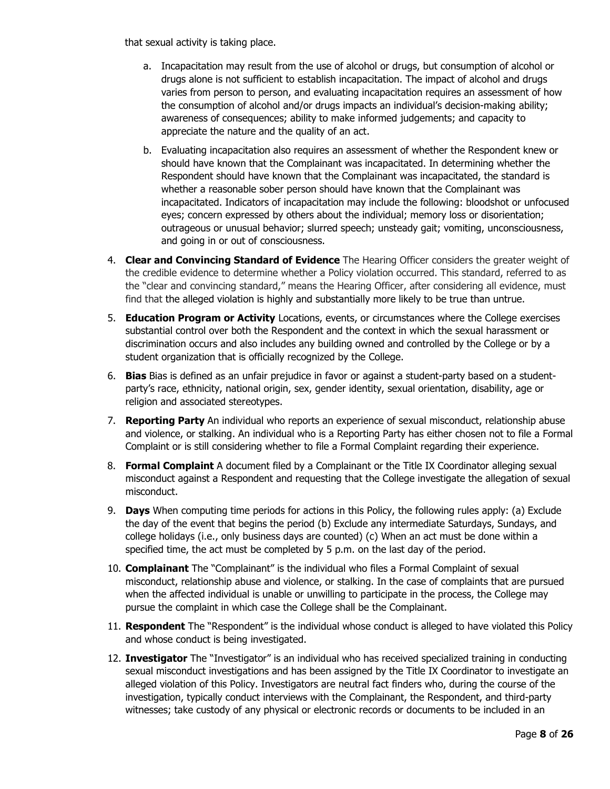that sexual activity is taking place.

- a. Incapacitation may result from the use of alcohol or drugs, but consumption of alcohol or drugs alone is not sufficient to establish incapacitation. The impact of alcohol and drugs varies from person to person, and evaluating incapacitation requires an assessment of how the consumption of alcohol and/or drugs impacts an individual's decision-making ability; awareness of consequences; ability to make informed judgements; and capacity to appreciate the nature and the quality of an act.
- b. Evaluating incapacitation also requires an assessment of whether the Respondent knew or should have known that the Complainant was incapacitated. In determining whether the Respondent should have known that the Complainant was incapacitated, the standard is whether a reasonable sober person should have known that the Complainant was incapacitated. Indicators of incapacitation may include the following: bloodshot or unfocused eyes; concern expressed by others about the individual; memory loss or disorientation; outrageous or unusual behavior; slurred speech; unsteady gait; vomiting, unconsciousness, and going in or out of consciousness.
- 4. **Clear and Convincing Standard of Evidence** The Hearing Officer considers the greater weight of the credible evidence to determine whether a Policy violation occurred. This standard, referred to as the "clear and convincing standard," means the Hearing Officer, after considering all evidence, must find that the alleged violation is highly and substantially more likely to be true than untrue.
- 5. **Education Program or Activity** Locations, events, or circumstances where the College exercises substantial control over both the Respondent and the context in which the sexual harassment or discrimination occurs and also includes any building owned and controlled by the College or by a student organization that is officially recognized by the College.
- 6. **Bias** Bias is defined as an unfair prejudice in favor or against a student-party based on a studentparty's race, ethnicity, national origin, sex, gender identity, sexual orientation, disability, age or religion and associated stereotypes.
- 7. **Reporting Party** An individual who reports an experience of sexual misconduct, relationship abuse and violence, or stalking. An individual who is a Reporting Party has either chosen not to file a Formal Complaint or is still considering whether to file a Formal Complaint regarding their experience.
- 8. **Formal Complaint** A document filed by a Complainant or the Title IX Coordinator alleging sexual misconduct against a Respondent and requesting that the College investigate the allegation of sexual misconduct.
- 9. **Days** When computing time periods for actions in this Policy, the following rules apply: (a) Exclude the day of the event that begins the period (b) Exclude any intermediate Saturdays, Sundays, and college holidays (i.e., only business days are counted) (c) When an act must be done within a specified time, the act must be completed by 5 p.m. on the last day of the period.
- 10. **Complainant** The "Complainant" is the individual who files a Formal Complaint of sexual misconduct, relationship abuse and violence, or stalking. In the case of complaints that are pursued when the affected individual is unable or unwilling to participate in the process, the College may pursue the complaint in which case the College shall be the Complainant.
- 11. **Respondent** The "Respondent" is the individual whose conduct is alleged to have violated this Policy and whose conduct is being investigated.
- 12. **Investigator** The "Investigator" is an individual who has received specialized training in conducting sexual misconduct investigations and has been assigned by the Title IX Coordinator to investigate an alleged violation of this Policy. Investigators are neutral fact finders who, during the course of the investigation, typically conduct interviews with the Complainant, the Respondent, and third-party witnesses; take custody of any physical or electronic records or documents to be included in an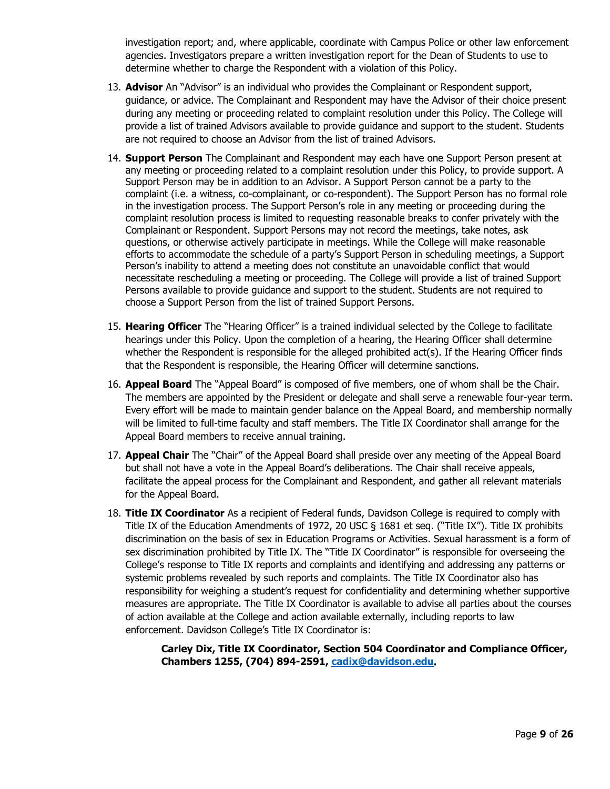investigation report; and, where applicable, coordinate with Campus Police or other law enforcement agencies. Investigators prepare a written investigation report for the Dean of Students to use to determine whether to charge the Respondent with a violation of this Policy.

- 13. **Advisor** An "Advisor" is an individual who provides the Complainant or Respondent support, guidance, or advice. The Complainant and Respondent may have the Advisor of their choice present during any meeting or proceeding related to complaint resolution under this Policy. The College will provide a list of trained Advisors available to provide guidance and support to the student. Students are not required to choose an Advisor from the list of trained Advisors.
- 14. **Support Person** The Complainant and Respondent may each have one Support Person present at any meeting or proceeding related to a complaint resolution under this Policy, to provide support. A Support Person may be in addition to an Advisor. A Support Person cannot be a party to the complaint (i.e. a witness, co-complainant, or co-respondent). The Support Person has no formal role in the investigation process. The Support Person's role in any meeting or proceeding during the complaint resolution process is limited to requesting reasonable breaks to confer privately with the Complainant or Respondent. Support Persons may not record the meetings, take notes, ask questions, or otherwise actively participate in meetings. While the College will make reasonable efforts to accommodate the schedule of a party's Support Person in scheduling meetings, a Support Person's inability to attend a meeting does not constitute an unavoidable conflict that would necessitate rescheduling a meeting or proceeding. The College will provide a list of trained Support Persons available to provide guidance and support to the student. Students are not required to choose a Support Person from the list of trained Support Persons.
- 15. **Hearing Officer** The "Hearing Officer" is a trained individual selected by the College to facilitate hearings under this Policy. Upon the completion of a hearing, the Hearing Officer shall determine whether the Respondent is responsible for the alleged prohibited act(s). If the Hearing Officer finds that the Respondent is responsible, the Hearing Officer will determine sanctions.
- 16. **Appeal Board** The "Appeal Board" is composed of five members, one of whom shall be the Chair. The members are appointed by the President or delegate and shall serve a renewable four-year term. Every effort will be made to maintain gender balance on the Appeal Board, and membership normally will be limited to full-time faculty and staff members. The Title IX Coordinator shall arrange for the Appeal Board members to receive annual training.
- 17. **Appeal Chair** The "Chair" of the Appeal Board shall preside over any meeting of the Appeal Board but shall not have a vote in the Appeal Board's deliberations. The Chair shall receive appeals, facilitate the appeal process for the Complainant and Respondent, and gather all relevant materials for the Appeal Board.
- 18. **Title IX Coordinator** As a recipient of Federal funds, Davidson College is required to comply with Title IX of the Education Amendments of 1972, 20 USC § 1681 et seq. ("Title IX"). Title IX prohibits discrimination on the basis of sex in Education Programs or Activities. Sexual harassment is a form of sex discrimination prohibited by Title IX. The "Title IX Coordinator" is responsible for overseeing the College's response to Title IX reports and complaints and identifying and addressing any patterns or systemic problems revealed by such reports and complaints. The Title IX Coordinator also has responsibility for weighing a student's request for confidentiality and determining whether supportive measures are appropriate. The Title IX Coordinator is available to advise all parties about the courses of action available at the College and action available externally, including reports to law enforcement. Davidson College's Title IX Coordinator is:

**Carley Dix, Title IX Coordinator, Section 504 Coordinator and Compliance Officer, Chambers 1255, (704) 894-2591, [cadix@davidson.edu.](mailto:cadix@davidson.edu)**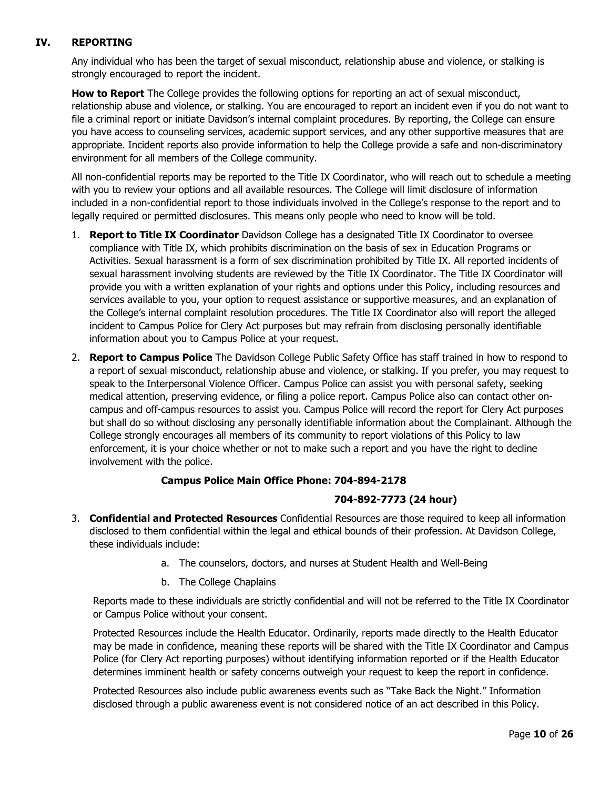# **IV. REPORTING**

Any individual who has been the target of sexual misconduct, relationship abuse and violence, or stalking is strongly encouraged to report the incident.

**How to Report** The College provides the following options for reporting an act of sexual misconduct, relationship abuse and violence, or stalking. You are encouraged to report an incident even if you do not want to file a criminal report or initiate Davidson's internal complaint procedures. By reporting, the College can ensure you have access to counseling services, academic support services, and any other supportive measures that are appropriate. Incident reports also provide information to help the College provide a safe and non-discriminatory environment for all members of the College community.

All non-confidential reports may be reported to the Title IX Coordinator, who will reach out to schedule a meeting with you to review your options and all available resources. The College will limit disclosure of information included in a non-confidential report to those individuals involved in the College's response to the report and to legally required or permitted disclosures. This means only people who need to know will be told.

- 1. **Report to Title IX Coordinator** Davidson College has a designated Title IX Coordinator to oversee compliance with Title IX, which prohibits discrimination on the basis of sex in Education Programs or Activities. Sexual harassment is a form of sex discrimination prohibited by Title IX. All reported incidents of sexual harassment involving students are reviewed by the Title IX Coordinator. The Title IX Coordinator will provide you with a written explanation of your rights and options under this Policy, including resources and services available to you, your option to request assistance or supportive measures, and an explanation of the College's internal complaint resolution procedures. The Title IX Coordinator also will report the alleged incident to Campus Police for Clery Act purposes but may refrain from disclosing personally identifiable information about you to Campus Police at your request.
- 2. **Report to Campus Police** The Davidson College Public Safety Office has staff trained in how to respond to a report of sexual misconduct, relationship abuse and violence, or stalking. If you prefer, you may request to speak to the Interpersonal Violence Officer. Campus Police can assist you with personal safety, seeking medical attention, preserving evidence, or filing a police report. Campus Police also can contact other oncampus and off-campus resources to assist you. Campus Police will record the report for Clery Act purposes but shall do so without disclosing any personally identifiable information about the Complainant. Although the College strongly encourages all members of its community to report violations of this Policy to law enforcement, it is your choice whether or not to make such a report and you have the right to decline involvement with the police.

## **Campus Police Main Office Phone: 704-894-2178**

## **704-892-7773 (24 hour)**

- 3. **Confidential and Protected Resources** Confidential Resources are those required to keep all information disclosed to them confidential within the legal and ethical bounds of their profession. At Davidson College, these individuals include:
	- a. The counselors, doctors, and nurses at Student Health and Well-Being
	- b. The College Chaplains

Reports made to these individuals are strictly confidential and will not be referred to the Title IX Coordinator or Campus Police without your consent.

Protected Resources include the Health Educator. Ordinarily, reports made directly to the Health Educator may be made in confidence, meaning these reports will be shared with the Title IX Coordinator and Campus Police (for Clery Act reporting purposes) without identifying information reported or if the Health Educator determines imminent health or safety concerns outweigh your request to keep the report in confidence.

Protected Resources also include public awareness events such as "Take Back the Night." Information disclosed through a public awareness event is not considered notice of an act described in this Policy.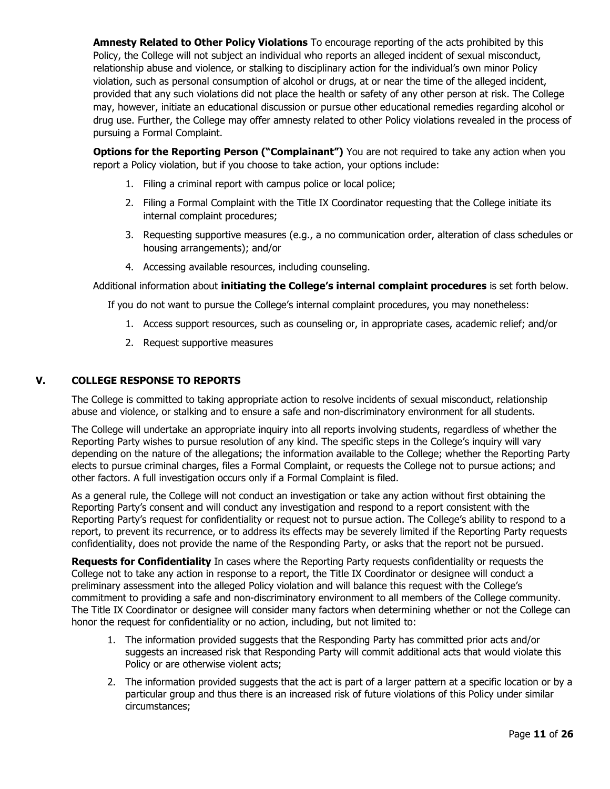**Amnesty Related to Other Policy Violations** To encourage reporting of the acts prohibited by this Policy, the College will not subject an individual who reports an alleged incident of sexual misconduct, relationship abuse and violence, or stalking to disciplinary action for the individual's own minor Policy violation, such as personal consumption of alcohol or drugs, at or near the time of the alleged incident, provided that any such violations did not place the health or safety of any other person at risk. The College may, however, initiate an educational discussion or pursue other educational remedies regarding alcohol or drug use. Further, the College may offer amnesty related to other Policy violations revealed in the process of pursuing a Formal Complaint.

**Options for the Reporting Person ("Complainant")** You are not required to take any action when you report a Policy violation, but if you choose to take action, your options include:

- 1. Filing a criminal report with campus police or local police;
- 2. Filing a Formal Complaint with the Title IX Coordinator requesting that the College initiate its internal complaint procedures;
- 3. Requesting supportive measures (e.g., a no communication order, alteration of class schedules or housing arrangements); and/or
- 4. Accessing available resources, including counseling.

Additional information about **initiating the College's internal complaint procedures** is set forth below.

If you do not want to pursue the College's internal complaint procedures, you may nonetheless:

- 1. Access support resources, such as counseling or, in appropriate cases, academic relief; and/or
- 2. Request supportive measures

## **V. COLLEGE RESPONSE TO REPORTS**

The College is committed to taking appropriate action to resolve incidents of sexual misconduct, relationship abuse and violence, or stalking and to ensure a safe and non-discriminatory environment for all students.

The College will undertake an appropriate inquiry into all reports involving students, regardless of whether the Reporting Party wishes to pursue resolution of any kind. The specific steps in the College's inquiry will vary depending on the nature of the allegations; the information available to the College; whether the Reporting Party elects to pursue criminal charges, files a Formal Complaint, or requests the College not to pursue actions; and other factors. A full investigation occurs only if a Formal Complaint is filed.

As a general rule, the College will not conduct an investigation or take any action without first obtaining the Reporting Party's consent and will conduct any investigation and respond to a report consistent with the Reporting Party's request for confidentiality or request not to pursue action. The College's ability to respond to a report, to prevent its recurrence, or to address its effects may be severely limited if the Reporting Party requests confidentiality, does not provide the name of the Responding Party, or asks that the report not be pursued.

**Requests for Confidentiality** In cases where the Reporting Party requests confidentiality or requests the College not to take any action in response to a report, the Title IX Coordinator or designee will conduct a preliminary assessment into the alleged Policy violation and will balance this request with the College's commitment to providing a safe and non-discriminatory environment to all members of the College community. The Title IX Coordinator or designee will consider many factors when determining whether or not the College can honor the request for confidentiality or no action, including, but not limited to:

- 1. The information provided suggests that the Responding Party has committed prior acts and/or suggests an increased risk that Responding Party will commit additional acts that would violate this Policy or are otherwise violent acts;
- 2. The information provided suggests that the act is part of a larger pattern at a specific location or by a particular group and thus there is an increased risk of future violations of this Policy under similar circumstances;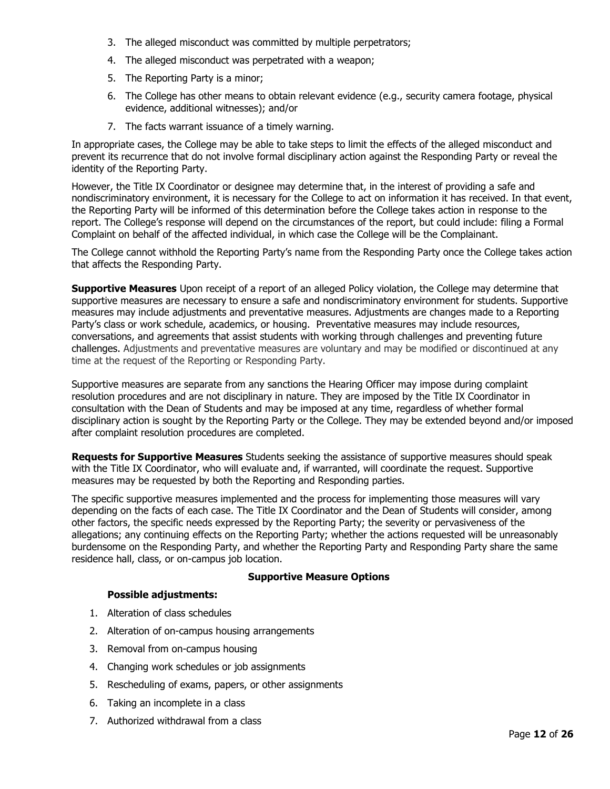- 3. The alleged misconduct was committed by multiple perpetrators;
- 4. The alleged misconduct was perpetrated with a weapon;
- 5. The Reporting Party is a minor;
- 6. The College has other means to obtain relevant evidence (e.g., security camera footage, physical evidence, additional witnesses); and/or
- 7. The facts warrant issuance of a timely warning.

In appropriate cases, the College may be able to take steps to limit the effects of the alleged misconduct and prevent its recurrence that do not involve formal disciplinary action against the Responding Party or reveal the identity of the Reporting Party.

However, the Title IX Coordinator or designee may determine that, in the interest of providing a safe and nondiscriminatory environment, it is necessary for the College to act on information it has received. In that event, the Reporting Party will be informed of this determination before the College takes action in response to the report. The College's response will depend on the circumstances of the report, but could include: filing a Formal Complaint on behalf of the affected individual, in which case the College will be the Complainant.

The College cannot withhold the Reporting Party's name from the Responding Party once the College takes action that affects the Responding Party.

**Supportive Measures** Upon receipt of a report of an alleged Policy violation, the College may determine that supportive measures are necessary to ensure a safe and nondiscriminatory environment for students. Supportive measures may include adjustments and preventative measures. Adjustments are changes made to a Reporting Party's class or work schedule, academics, or housing. Preventative measures may include resources, conversations, and agreements that assist students with working through challenges and preventing future challenges. Adjustments and preventative measures are voluntary and may be modified or discontinued at any time at the request of the Reporting or Responding Party.

Supportive measures are separate from any sanctions the Hearing Officer may impose during complaint resolution procedures and are not disciplinary in nature. They are imposed by the Title IX Coordinator in consultation with the Dean of Students and may be imposed at any time, regardless of whether formal disciplinary action is sought by the Reporting Party or the College. They may be extended beyond and/or imposed after complaint resolution procedures are completed.

**Requests for Supportive Measures** Students seeking the assistance of supportive measures should speak with the Title IX Coordinator, who will evaluate and, if warranted, will coordinate the request. Supportive measures may be requested by both the Reporting and Responding parties.

The specific supportive measures implemented and the process for implementing those measures will vary depending on the facts of each case. The Title IX Coordinator and the Dean of Students will consider, among other factors, the specific needs expressed by the Reporting Party; the severity or pervasiveness of the allegations; any continuing effects on the Reporting Party; whether the actions requested will be unreasonably burdensome on the Responding Party, and whether the Reporting Party and Responding Party share the same residence hall, class, or on-campus job location.

#### **Supportive Measure Options**

## **Possible adjustments:**

- 1. Alteration of class schedules
- 2. Alteration of on-campus housing arrangements
- 3. Removal from on-campus housing
- 4. Changing work schedules or job assignments
- 5. Rescheduling of exams, papers, or other assignments
- 6. Taking an incomplete in a class
- 7. Authorized withdrawal from a class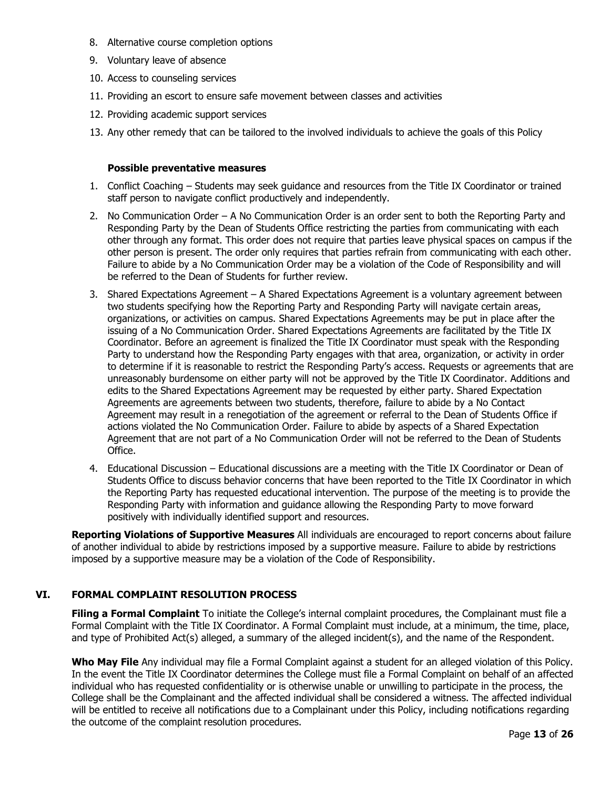- 8. Alternative course completion options
- 9. Voluntary leave of absence
- 10. Access to counseling services
- 11. Providing an escort to ensure safe movement between classes and activities
- 12. Providing academic support services
- 13. Any other remedy that can be tailored to the involved individuals to achieve the goals of this Policy

#### **Possible preventative measures**

- 1. Conflict Coaching Students may seek guidance and resources from the Title IX Coordinator or trained staff person to navigate conflict productively and independently.
- 2. No Communication Order A No Communication Order is an order sent to both the Reporting Party and Responding Party by the Dean of Students Office restricting the parties from communicating with each other through any format. This order does not require that parties leave physical spaces on campus if the other person is present. The order only requires that parties refrain from communicating with each other. Failure to abide by a No Communication Order may be a violation of the Code of Responsibility and will be referred to the Dean of Students for further review.
- 3. Shared Expectations Agreement A Shared Expectations Agreement is a voluntary agreement between two students specifying how the Reporting Party and Responding Party will navigate certain areas, organizations, or activities on campus. Shared Expectations Agreements may be put in place after the issuing of a No Communication Order. Shared Expectations Agreements are facilitated by the Title IX Coordinator. Before an agreement is finalized the Title IX Coordinator must speak with the Responding Party to understand how the Responding Party engages with that area, organization, or activity in order to determine if it is reasonable to restrict the Responding Party's access. Requests or agreements that are unreasonably burdensome on either party will not be approved by the Title IX Coordinator. Additions and edits to the Shared Expectations Agreement may be requested by either party. Shared Expectation Agreements are agreements between two students, therefore, failure to abide by a No Contact Agreement may result in a renegotiation of the agreement or referral to the Dean of Students Office if actions violated the No Communication Order. Failure to abide by aspects of a Shared Expectation Agreement that are not part of a No Communication Order will not be referred to the Dean of Students Office.
- 4. Educational Discussion Educational discussions are a meeting with the Title IX Coordinator or Dean of Students Office to discuss behavior concerns that have been reported to the Title IX Coordinator in which the Reporting Party has requested educational intervention. The purpose of the meeting is to provide the Responding Party with information and guidance allowing the Responding Party to move forward positively with individually identified support and resources.

**Reporting Violations of Supportive Measures** All individuals are encouraged to report concerns about failure of another individual to abide by restrictions imposed by a supportive measure. Failure to abide by restrictions imposed by a supportive measure may be a violation of the Code of Responsibility.

## **VI. FORMAL COMPLAINT RESOLUTION PROCESS**

**Filing a Formal Complaint** To initiate the College's internal complaint procedures, the Complainant must file a Formal Complaint with the Title IX Coordinator. A Formal Complaint must include, at a minimum, the time, place, and type of Prohibited Act(s) alleged, a summary of the alleged incident(s), and the name of the Respondent.

**Who May File** Any individual may file a Formal Complaint against a student for an alleged violation of this Policy. In the event the Title IX Coordinator determines the College must file a Formal Complaint on behalf of an affected individual who has requested confidentiality or is otherwise unable or unwilling to participate in the process, the College shall be the Complainant and the affected individual shall be considered a witness. The affected individual will be entitled to receive all notifications due to a Complainant under this Policy, including notifications regarding the outcome of the complaint resolution procedures.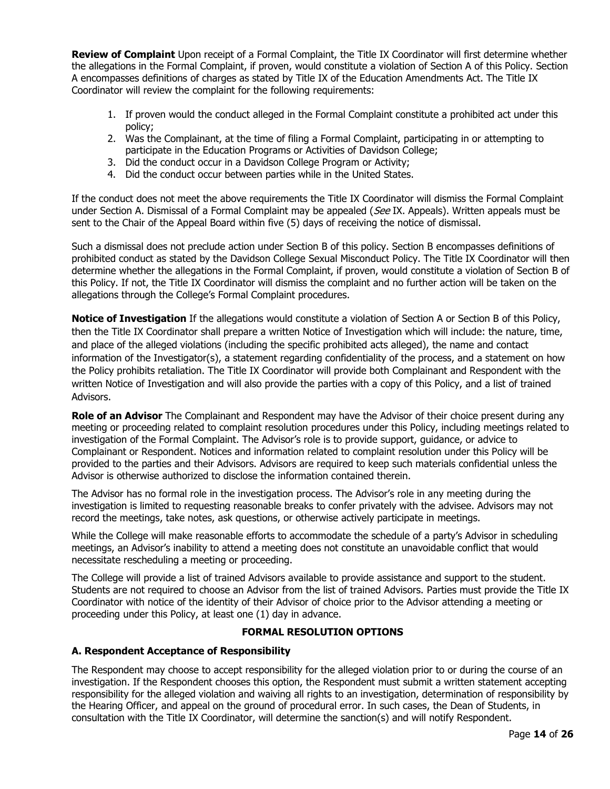**Review of Complaint** Upon receipt of a Formal Complaint, the Title IX Coordinator will first determine whether the allegations in the Formal Complaint, if proven, would constitute a violation of Section A of this Policy. Section A encompasses definitions of charges as stated by Title IX of the Education Amendments Act. The Title IX Coordinator will review the complaint for the following requirements:

- 1. If proven would the conduct alleged in the Formal Complaint constitute a prohibited act under this policy;
- 2. Was the Complainant, at the time of filing a Formal Complaint, participating in or attempting to participate in the Education Programs or Activities of Davidson College;
- 3. Did the conduct occur in a Davidson College Program or Activity;
- 4. Did the conduct occur between parties while in the United States.

If the conduct does not meet the above requirements the Title IX Coordinator will dismiss the Formal Complaint under Section A. Dismissal of a Formal Complaint may be appealed (See IX. Appeals). Written appeals must be sent to the Chair of the Appeal Board within five (5) days of receiving the notice of dismissal.

Such a dismissal does not preclude action under Section B of this policy. Section B encompasses definitions of prohibited conduct as stated by the Davidson College Sexual Misconduct Policy. The Title IX Coordinator will then determine whether the allegations in the Formal Complaint, if proven, would constitute a violation of Section B of this Policy. If not, the Title IX Coordinator will dismiss the complaint and no further action will be taken on the allegations through the College's Formal Complaint procedures.

**Notice of Investigation** If the allegations would constitute a violation of Section A or Section B of this Policy, then the Title IX Coordinator shall prepare a written Notice of Investigation which will include: the nature, time, and place of the alleged violations (including the specific prohibited acts alleged), the name and contact information of the Investigator(s), a statement regarding confidentiality of the process, and a statement on how the Policy prohibits retaliation. The Title IX Coordinator will provide both Complainant and Respondent with the written Notice of Investigation and will also provide the parties with a copy of this Policy, and a list of trained Advisors.

**Role of an Advisor** The Complainant and Respondent may have the Advisor of their choice present during any meeting or proceeding related to complaint resolution procedures under this Policy, including meetings related to investigation of the Formal Complaint. The Advisor's role is to provide support, guidance, or advice to Complainant or Respondent. Notices and information related to complaint resolution under this Policy will be provided to the parties and their Advisors. Advisors are required to keep such materials confidential unless the Advisor is otherwise authorized to disclose the information contained therein.

The Advisor has no formal role in the investigation process. The Advisor's role in any meeting during the investigation is limited to requesting reasonable breaks to confer privately with the advisee. Advisors may not record the meetings, take notes, ask questions, or otherwise actively participate in meetings.

While the College will make reasonable efforts to accommodate the schedule of a party's Advisor in scheduling meetings, an Advisor's inability to attend a meeting does not constitute an unavoidable conflict that would necessitate rescheduling a meeting or proceeding.

The College will provide a list of trained Advisors available to provide assistance and support to the student. Students are not required to choose an Advisor from the list of trained Advisors. Parties must provide the Title IX Coordinator with notice of the identity of their Advisor of choice prior to the Advisor attending a meeting or proceeding under this Policy, at least one (1) day in advance.

## **FORMAL RESOLUTION OPTIONS**

#### **A. Respondent Acceptance of Responsibility**

The Respondent may choose to accept responsibility for the alleged violation prior to or during the course of an investigation. If the Respondent chooses this option, the Respondent must submit a written statement accepting responsibility for the alleged violation and waiving all rights to an investigation, determination of responsibility by the Hearing Officer, and appeal on the ground of procedural error. In such cases, the Dean of Students, in consultation with the Title IX Coordinator, will determine the sanction(s) and will notify Respondent.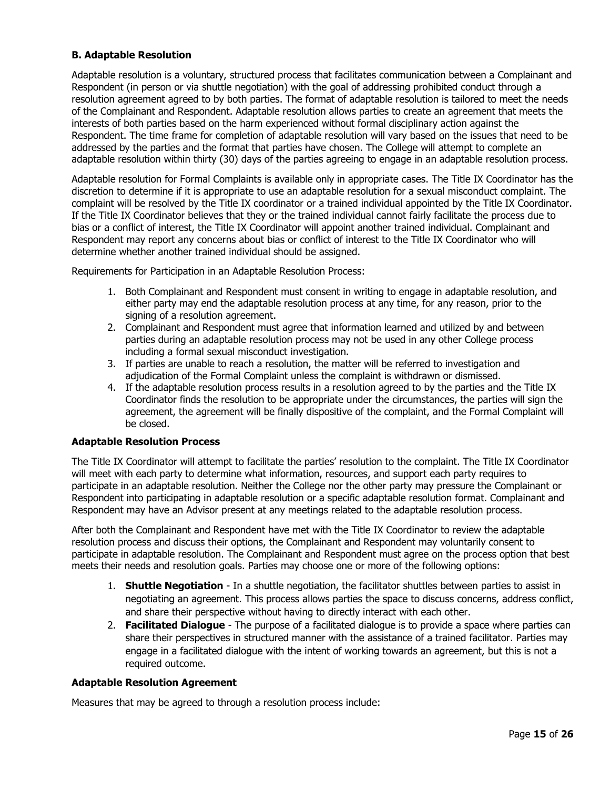# **B. Adaptable Resolution**

Adaptable resolution is a voluntary, structured process that facilitates communication between a Complainant and Respondent (in person or via shuttle negotiation) with the goal of addressing prohibited conduct through a resolution agreement agreed to by both parties. The format of adaptable resolution is tailored to meet the needs of the Complainant and Respondent. Adaptable resolution allows parties to create an agreement that meets the interests of both parties based on the harm experienced without formal disciplinary action against the Respondent. The time frame for completion of adaptable resolution will vary based on the issues that need to be addressed by the parties and the format that parties have chosen. The College will attempt to complete an adaptable resolution within thirty (30) days of the parties agreeing to engage in an adaptable resolution process.

Adaptable resolution for Formal Complaints is available only in appropriate cases. The Title IX Coordinator has the discretion to determine if it is appropriate to use an adaptable resolution for a sexual misconduct complaint. The complaint will be resolved by the Title IX coordinator or a trained individual appointed by the Title IX Coordinator. If the Title IX Coordinator believes that they or the trained individual cannot fairly facilitate the process due to bias or a conflict of interest, the Title IX Coordinator will appoint another trained individual. Complainant and Respondent may report any concerns about bias or conflict of interest to the Title IX Coordinator who will determine whether another trained individual should be assigned.

Requirements for Participation in an Adaptable Resolution Process:

- 1. Both Complainant and Respondent must consent in writing to engage in adaptable resolution, and either party may end the adaptable resolution process at any time, for any reason, prior to the signing of a resolution agreement.
- 2. Complainant and Respondent must agree that information learned and utilized by and between parties during an adaptable resolution process may not be used in any other College process including a formal sexual misconduct investigation.
- 3. If parties are unable to reach a resolution, the matter will be referred to investigation and adjudication of the Formal Complaint unless the complaint is withdrawn or dismissed.
- 4. If the adaptable resolution process results in a resolution agreed to by the parties and the Title IX Coordinator finds the resolution to be appropriate under the circumstances, the parties will sign the agreement, the agreement will be finally dispositive of the complaint, and the Formal Complaint will be closed.

#### **Adaptable Resolution Process**

The Title IX Coordinator will attempt to facilitate the parties' resolution to the complaint. The Title IX Coordinator will meet with each party to determine what information, resources, and support each party requires to participate in an adaptable resolution. Neither the College nor the other party may pressure the Complainant or Respondent into participating in adaptable resolution or a specific adaptable resolution format. Complainant and Respondent may have an Advisor present at any meetings related to the adaptable resolution process.

After both the Complainant and Respondent have met with the Title IX Coordinator to review the adaptable resolution process and discuss their options, the Complainant and Respondent may voluntarily consent to participate in adaptable resolution. The Complainant and Respondent must agree on the process option that best meets their needs and resolution goals. Parties may choose one or more of the following options:

- 1. **Shuttle Negotiation** In a shuttle negotiation, the facilitator shuttles between parties to assist in negotiating an agreement. This process allows parties the space to discuss concerns, address conflict, and share their perspective without having to directly interact with each other.
- 2. **Facilitated Dialogue** The purpose of a facilitated dialogue is to provide a space where parties can share their perspectives in structured manner with the assistance of a trained facilitator. Parties may engage in a facilitated dialogue with the intent of working towards an agreement, but this is not a required outcome.

#### **Adaptable Resolution Agreement**

Measures that may be agreed to through a resolution process include: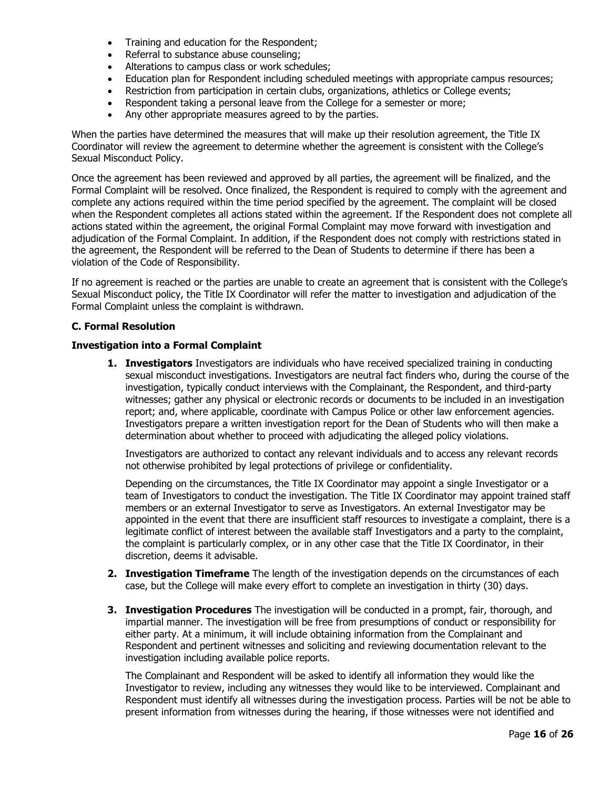- Training and education for the Respondent;
- Referral to substance abuse counseling;
- Alterations to campus class or work schedules;<br>• Education plan for Respondent including schedi
- Education plan for Respondent including scheduled meetings with appropriate campus resources;
- Restriction from participation in certain clubs, organizations, athletics or College events;
- Respondent taking a personal leave from the College for a semester or more;
- Any other appropriate measures agreed to by the parties.

When the parties have determined the measures that will make up their resolution agreement, the Title IX Coordinator will review the agreement to determine whether the agreement is consistent with the College's Sexual Misconduct Policy.

Once the agreement has been reviewed and approved by all parties, the agreement will be finalized, and the Formal Complaint will be resolved. Once finalized, the Respondent is required to comply with the agreement and complete any actions required within the time period specified by the agreement. The complaint will be closed when the Respondent completes all actions stated within the agreement. If the Respondent does not complete all actions stated within the agreement, the original Formal Complaint may move forward with investigation and adjudication of the Formal Complaint. In addition, if the Respondent does not comply with restrictions stated in the agreement, the Respondent will be referred to the Dean of Students to determine if there has been a violation of the Code of Responsibility.

If no agreement is reached or the parties are unable to create an agreement that is consistent with the College's Sexual Misconduct policy, the Title IX Coordinator will refer the matter to investigation and adjudication of the Formal Complaint unless the complaint is withdrawn.

#### **C. Formal Resolution**

#### **Investigation into a Formal Complaint**

**1. Investigators** Investigators are individuals who have received specialized training in conducting sexual misconduct investigations. Investigators are neutral fact finders who, during the course of the investigation, typically conduct interviews with the Complainant, the Respondent, and third-party witnesses; gather any physical or electronic records or documents to be included in an investigation report; and, where applicable, coordinate with Campus Police or other law enforcement agencies. Investigators prepare a written investigation report for the Dean of Students who will then make a determination about whether to proceed with adjudicating the alleged policy violations.

Investigators are authorized to contact any relevant individuals and to access any relevant records not otherwise prohibited by legal protections of privilege or confidentiality.

Depending on the circumstances, the Title IX Coordinator may appoint a single Investigator or a team of Investigators to conduct the investigation. The Title IX Coordinator may appoint trained staff members or an external Investigator to serve as Investigators. An external Investigator may be appointed in the event that there are insufficient staff resources to investigate a complaint, there is a legitimate conflict of interest between the available staff Investigators and a party to the complaint, the complaint is particularly complex, or in any other case that the Title IX Coordinator, in their discretion, deems it advisable.

- **2. Investigation Timeframe** The length of the investigation depends on the circumstances of each case, but the College will make every effort to complete an investigation in thirty (30) days.
- **3. Investigation Procedures** The investigation will be conducted in a prompt, fair, thorough, and impartial manner. The investigation will be free from presumptions of conduct or responsibility for either party. At a minimum, it will include obtaining information from the Complainant and Respondent and pertinent witnesses and soliciting and reviewing documentation relevant to the investigation including available police reports.

The Complainant and Respondent will be asked to identify all information they would like the Investigator to review, including any witnesses they would like to be interviewed. Complainant and Respondent must identify all witnesses during the investigation process. Parties will be not be able to present information from witnesses during the hearing, if those witnesses were not identified and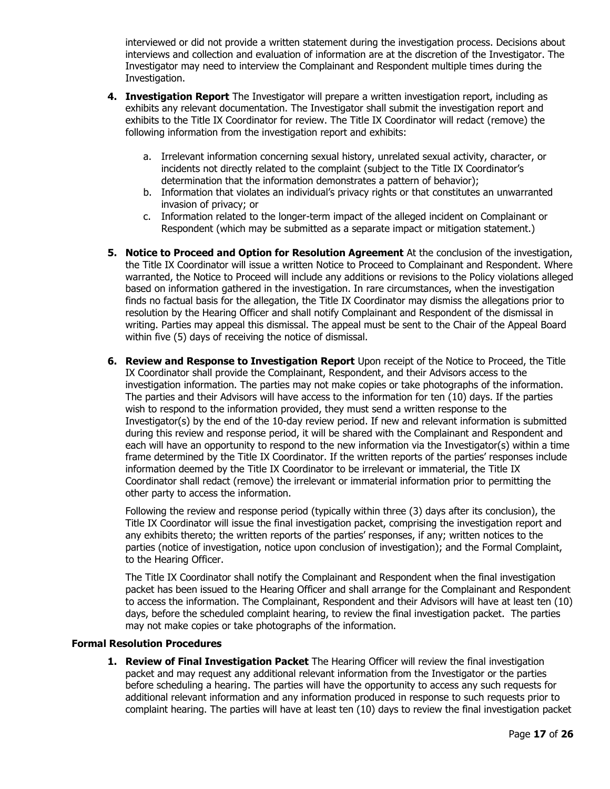interviewed or did not provide a written statement during the investigation process. Decisions about interviews and collection and evaluation of information are at the discretion of the Investigator. The Investigator may need to interview the Complainant and Respondent multiple times during the Investigation.

- **4. Investigation Report** The Investigator will prepare a written investigation report, including as exhibits any relevant documentation. The Investigator shall submit the investigation report and exhibits to the Title IX Coordinator for review. The Title IX Coordinator will redact (remove) the following information from the investigation report and exhibits:
	- a. Irrelevant information concerning sexual history, unrelated sexual activity, character, or incidents not directly related to the complaint (subject to the Title IX Coordinator's determination that the information demonstrates a pattern of behavior);
	- b. Information that violates an individual's privacy rights or that constitutes an unwarranted invasion of privacy; or
	- c. Information related to the longer-term impact of the alleged incident on Complainant or Respondent (which may be submitted as a separate impact or mitigation statement.)
- **5. Notice to Proceed and Option for Resolution Agreement** At the conclusion of the investigation, the Title IX Coordinator will issue a written Notice to Proceed to Complainant and Respondent. Where warranted, the Notice to Proceed will include any additions or revisions to the Policy violations alleged based on information gathered in the investigation. In rare circumstances, when the investigation finds no factual basis for the allegation, the Title IX Coordinator may dismiss the allegations prior to resolution by the Hearing Officer and shall notify Complainant and Respondent of the dismissal in writing. Parties may appeal this dismissal. The appeal must be sent to the Chair of the Appeal Board within five (5) days of receiving the notice of dismissal.
- **6. Review and Response to Investigation Report** Upon receipt of the Notice to Proceed, the Title IX Coordinator shall provide the Complainant, Respondent, and their Advisors access to the investigation information. The parties may not make copies or take photographs of the information. The parties and their Advisors will have access to the information for ten (10) days. If the parties wish to respond to the information provided, they must send a written response to the Investigator(s) by the end of the 10-day review period. If new and relevant information is submitted during this review and response period, it will be shared with the Complainant and Respondent and each will have an opportunity to respond to the new information via the Investigator(s) within a time frame determined by the Title IX Coordinator. If the written reports of the parties' responses include information deemed by the Title IX Coordinator to be irrelevant or immaterial, the Title IX Coordinator shall redact (remove) the irrelevant or immaterial information prior to permitting the other party to access the information.

Following the review and response period (typically within three (3) days after its conclusion), the Title IX Coordinator will issue the final investigation packet, comprising the investigation report and any exhibits thereto; the written reports of the parties' responses, if any; written notices to the parties (notice of investigation, notice upon conclusion of investigation); and the Formal Complaint, to the Hearing Officer.

The Title IX Coordinator shall notify the Complainant and Respondent when the final investigation packet has been issued to the Hearing Officer and shall arrange for the Complainant and Respondent to access the information. The Complainant, Respondent and their Advisors will have at least ten (10) days, before the scheduled complaint hearing, to review the final investigation packet. The parties may not make copies or take photographs of the information.

#### **Formal Resolution Procedures**

**1. Review of Final Investigation Packet** The Hearing Officer will review the final investigation packet and may request any additional relevant information from the Investigator or the parties before scheduling a hearing. The parties will have the opportunity to access any such requests for additional relevant information and any information produced in response to such requests prior to complaint hearing. The parties will have at least ten (10) days to review the final investigation packet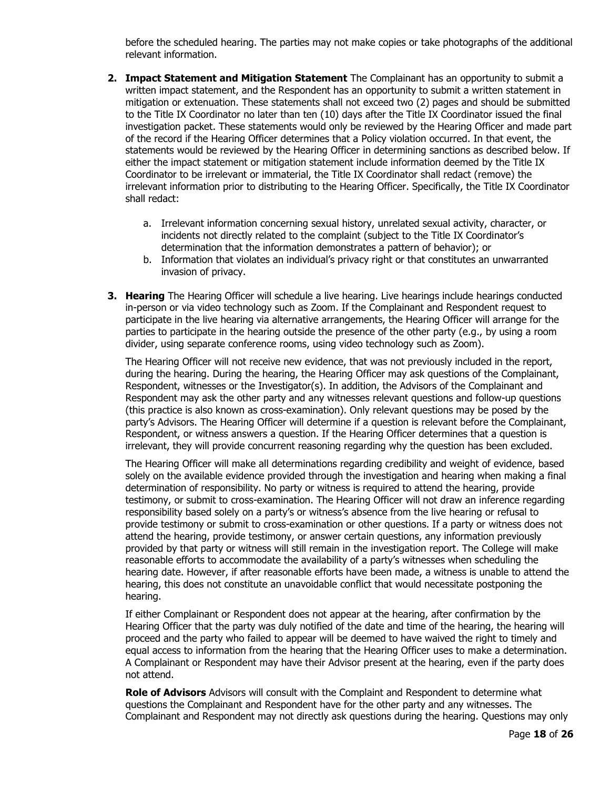before the scheduled hearing. The parties may not make copies or take photographs of the additional relevant information.

- **2. Impact Statement and Mitigation Statement** The Complainant has an opportunity to submit a written impact statement, and the Respondent has an opportunity to submit a written statement in mitigation or extenuation. These statements shall not exceed two (2) pages and should be submitted to the Title IX Coordinator no later than ten (10) days after the Title IX Coordinator issued the final investigation packet. These statements would only be reviewed by the Hearing Officer and made part of the record if the Hearing Officer determines that a Policy violation occurred. In that event, the statements would be reviewed by the Hearing Officer in determining sanctions as described below. If either the impact statement or mitigation statement include information deemed by the Title IX Coordinator to be irrelevant or immaterial, the Title IX Coordinator shall redact (remove) the irrelevant information prior to distributing to the Hearing Officer. Specifically, the Title IX Coordinator shall redact:
	- a. Irrelevant information concerning sexual history, unrelated sexual activity, character, or incidents not directly related to the complaint (subject to the Title IX Coordinator's determination that the information demonstrates a pattern of behavior); or
	- b. Information that violates an individual's privacy right or that constitutes an unwarranted invasion of privacy.
- **3. Hearing** The Hearing Officer will schedule a live hearing. Live hearings include hearings conducted in-person or via video technology such as Zoom. If the Complainant and Respondent request to participate in the live hearing via alternative arrangements, the Hearing Officer will arrange for the parties to participate in the hearing outside the presence of the other party (e.g., by using a room divider, using separate conference rooms, using video technology such as Zoom).

The Hearing Officer will not receive new evidence, that was not previously included in the report, during the hearing. During the hearing, the Hearing Officer may ask questions of the Complainant, Respondent, witnesses or the Investigator(s). In addition, the Advisors of the Complainant and Respondent may ask the other party and any witnesses relevant questions and follow-up questions (this practice is also known as cross-examination). Only relevant questions may be posed by the party's Advisors. The Hearing Officer will determine if a question is relevant before the Complainant, Respondent, or witness answers a question. If the Hearing Officer determines that a question is irrelevant, they will provide concurrent reasoning regarding why the question has been excluded.

The Hearing Officer will make all determinations regarding credibility and weight of evidence, based solely on the available evidence provided through the investigation and hearing when making a final determination of responsibility. No party or witness is required to attend the hearing, provide testimony, or submit to cross-examination. The Hearing Officer will not draw an inference regarding responsibility based solely on a party's or witness's absence from the live hearing or refusal to provide testimony or submit to cross-examination or other questions. If a party or witness does not attend the hearing, provide testimony, or answer certain questions, any information previously provided by that party or witness will still remain in the investigation report. The College will make reasonable efforts to accommodate the availability of a party's witnesses when scheduling the hearing date. However, if after reasonable efforts have been made, a witness is unable to attend the hearing, this does not constitute an unavoidable conflict that would necessitate postponing the hearing.

If either Complainant or Respondent does not appear at the hearing, after confirmation by the Hearing Officer that the party was duly notified of the date and time of the hearing, the hearing will proceed and the party who failed to appear will be deemed to have waived the right to timely and equal access to information from the hearing that the Hearing Officer uses to make a determination. A Complainant or Respondent may have their Advisor present at the hearing, even if the party does not attend.

**Role of Advisors** Advisors will consult with the Complaint and Respondent to determine what questions the Complainant and Respondent have for the other party and any witnesses. The Complainant and Respondent may not directly ask questions during the hearing. Questions may only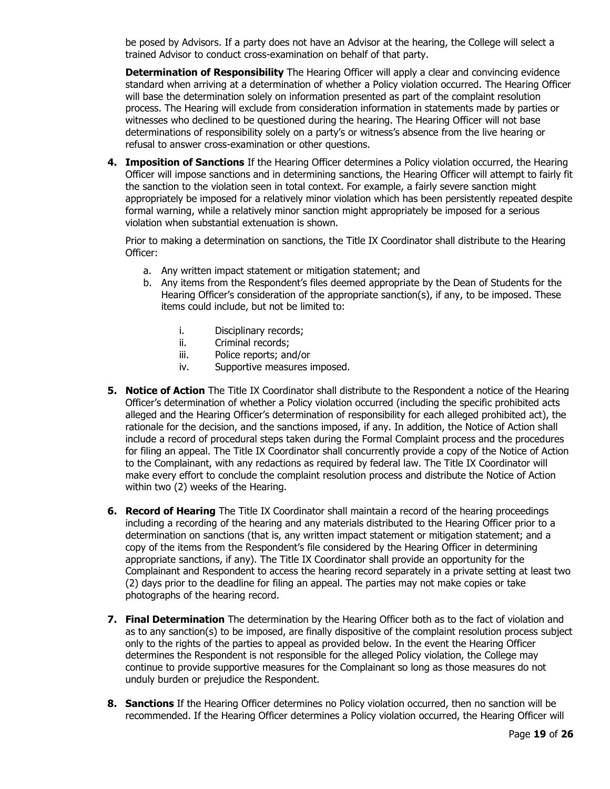be posed by Advisors. If a party does not have an Advisor at the hearing, the College will select a trained Advisor to conduct cross-examination on behalf of that party.

**Determination of Responsibility** The Hearing Officer will apply a clear and convincing evidence standard when arriving at a determination of whether a Policy violation occurred. The Hearing Officer will base the determination solely on information presented as part of the complaint resolution process. The Hearing will exclude from consideration information in statements made by parties or witnesses who declined to be questioned during the hearing. The Hearing Officer will not base determinations of responsibility solely on a party's or witness's absence from the live hearing or refusal to answer cross-examination or other questions.

**4. Imposition of Sanctions** If the Hearing Officer determines a Policy violation occurred, the Hearing Officer will impose sanctions and in determining sanctions, the Hearing Officer will attempt to fairly fit the sanction to the violation seen in total context. For example, a fairly severe sanction might appropriately be imposed for a relatively minor violation which has been persistently repeated despite formal warning, while a relatively minor sanction might appropriately be imposed for a serious violation when substantial extenuation is shown.

Prior to making a determination on sanctions, the Title IX Coordinator shall distribute to the Hearing Officer:

- a. Any written impact statement or mitigation statement; and
- b. Any items from the Respondent's files deemed appropriate by the Dean of Students for the Hearing Officer's consideration of the appropriate sanction(s), if any, to be imposed. These items could include, but not be limited to:
	- i. Disciplinary records;
	- ii. Criminal records;
	- iii. Police reports; and/or
	- iv. Supportive measures imposed.
- **5. Notice of Action** The Title IX Coordinator shall distribute to the Respondent a notice of the Hearing Officer's determination of whether a Policy violation occurred (including the specific prohibited acts alleged and the Hearing Officer's determination of responsibility for each alleged prohibited act), the rationale for the decision, and the sanctions imposed, if any. In addition, the Notice of Action shall include a record of procedural steps taken during the Formal Complaint process and the procedures for filing an appeal. The Title IX Coordinator shall concurrently provide a copy of the Notice of Action to the Complainant, with any redactions as required by federal law. The Title IX Coordinator will make every effort to conclude the complaint resolution process and distribute the Notice of Action within two (2) weeks of the Hearing.
- **6. Record of Hearing** The Title IX Coordinator shall maintain a record of the hearing proceedings including a recording of the hearing and any materials distributed to the Hearing Officer prior to a determination on sanctions (that is, any written impact statement or mitigation statement; and a copy of the items from the Respondent's file considered by the Hearing Officer in determining appropriate sanctions, if any). The Title IX Coordinator shall provide an opportunity for the Complainant and Respondent to access the hearing record separately in a private setting at least two (2) days prior to the deadline for filing an appeal. The parties may not make copies or take photographs of the hearing record.
- **7. Final Determination** The determination by the Hearing Officer both as to the fact of violation and as to any sanction(s) to be imposed, are finally dispositive of the complaint resolution process subject only to the rights of the parties to appeal as provided below. In the event the Hearing Officer determines the Respondent is not responsible for the alleged Policy violation, the College may continue to provide supportive measures for the Complainant so long as those measures do not unduly burden or prejudice the Respondent.
- **8. Sanctions** If the Hearing Officer determines no Policy violation occurred, then no sanction will be recommended. If the Hearing Officer determines a Policy violation occurred, the Hearing Officer will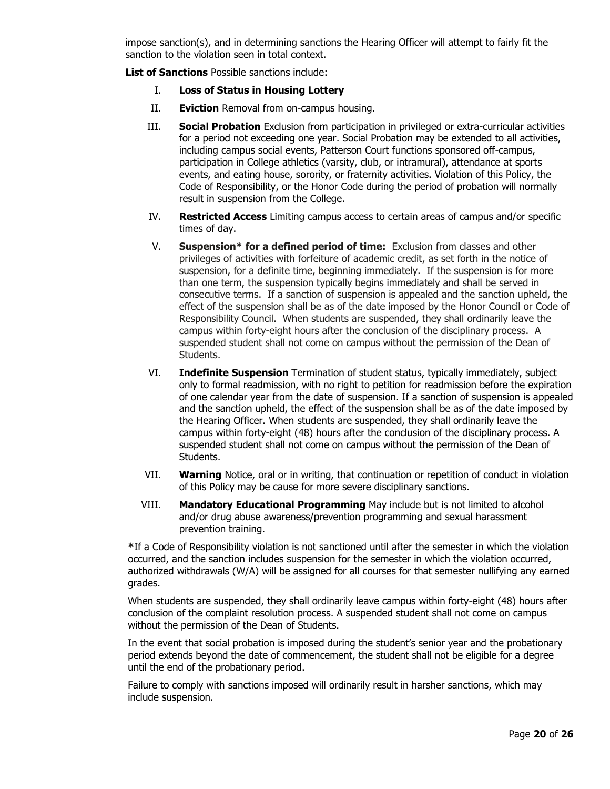impose sanction(s), and in determining sanctions the Hearing Officer will attempt to fairly fit the sanction to the violation seen in total context.

**List of Sanctions** Possible sanctions include:

- I. **Loss of Status in Housing Lottery**
- II. **Eviction** Removal from on-campus housing.
- III. **Social Probation** Exclusion from participation in privileged or extra-curricular activities for a period not exceeding one year. Social Probation may be extended to all activities, including campus social events, Patterson Court functions sponsored off-campus, participation in College athletics (varsity, club, or intramural), attendance at sports events, and eating house, sorority, or fraternity activities. Violation of this Policy, the Code of Responsibility, or the Honor Code during the period of probation will normally result in suspension from the College.
- IV. **Restricted Access** Limiting campus access to certain areas of campus and/or specific times of day.
- V. **Suspension\* for a defined period of time:** Exclusion from classes and other privileges of activities with forfeiture of academic credit, as set forth in the notice of suspension, for a definite time, beginning immediately. If the suspension is for more than one term, the suspension typically begins immediately and shall be served in consecutive terms. If a sanction of suspension is appealed and the sanction upheld, the effect of the suspension shall be as of the date imposed by the Honor Council or Code of Responsibility Council. When students are suspended, they shall ordinarily leave the campus within forty-eight hours after the conclusion of the disciplinary process. A suspended student shall not come on campus without the permission of the Dean of Students.
- VI. **Indefinite Suspension** Termination of student status, typically immediately, subject only to formal readmission, with no right to petition for readmission before the expiration of one calendar year from the date of suspension. If a sanction of suspension is appealed and the sanction upheld, the effect of the suspension shall be as of the date imposed by the Hearing Officer. When students are suspended, they shall ordinarily leave the campus within forty-eight (48) hours after the conclusion of the disciplinary process. A suspended student shall not come on campus without the permission of the Dean of Students.
- VII. **Warning** Notice, oral or in writing, that continuation or repetition of conduct in violation of this Policy may be cause for more severe disciplinary sanctions.
- VIII. **Mandatory Educational Programming** May include but is not limited to alcohol and/or drug abuse awareness/prevention programming and sexual harassment prevention training.

**\***If a Code of Responsibility violation is not sanctioned until after the semester in which the violation occurred, and the sanction includes suspension for the semester in which the violation occurred, authorized withdrawals (W/A) will be assigned for all courses for that semester nullifying any earned grades.

When students are suspended, they shall ordinarily leave campus within forty-eight (48) hours after conclusion of the complaint resolution process. A suspended student shall not come on campus without the permission of the Dean of Students.

In the event that social probation is imposed during the student's senior year and the probationary period extends beyond the date of commencement, the student shall not be eligible for a degree until the end of the probationary period.

Failure to comply with sanctions imposed will ordinarily result in harsher sanctions, which may include suspension.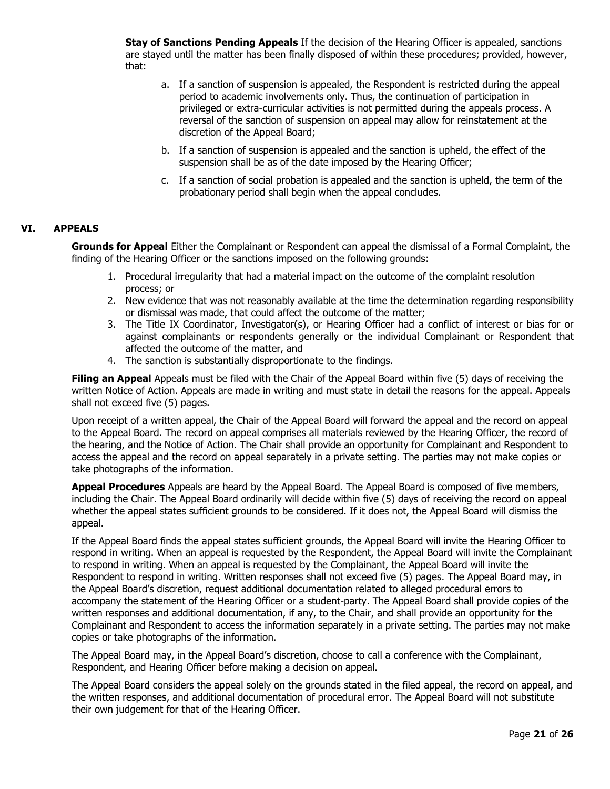**Stay of Sanctions Pending Appeals** If the decision of the Hearing Officer is appealed, sanctions are stayed until the matter has been finally disposed of within these procedures; provided, however, that:

- a. If a sanction of suspension is appealed, the Respondent is restricted during the appeal period to academic involvements only. Thus, the continuation of participation in privileged or extra-curricular activities is not permitted during the appeals process. A reversal of the sanction of suspension on appeal may allow for reinstatement at the discretion of the Appeal Board;
- b. If a sanction of suspension is appealed and the sanction is upheld, the effect of the suspension shall be as of the date imposed by the Hearing Officer;
- c. If a sanction of social probation is appealed and the sanction is upheld, the term of the probationary period shall begin when the appeal concludes.

#### **VI. APPEALS**

**Grounds for Appeal** Either the Complainant or Respondent can appeal the dismissal of a Formal Complaint, the finding of the Hearing Officer or the sanctions imposed on the following grounds:

- 1. Procedural irregularity that had a material impact on the outcome of the complaint resolution process; or
- 2. New evidence that was not reasonably available at the time the determination regarding responsibility or dismissal was made, that could affect the outcome of the matter;
- 3. The Title IX Coordinator, Investigator(s), or Hearing Officer had a conflict of interest or bias for or against complainants or respondents generally or the individual Complainant or Respondent that affected the outcome of the matter, and
- 4. The sanction is substantially disproportionate to the findings.

**Filing an Appeal** Appeals must be filed with the Chair of the Appeal Board within five (5) days of receiving the written Notice of Action. Appeals are made in writing and must state in detail the reasons for the appeal. Appeals shall not exceed five (5) pages.

Upon receipt of a written appeal, the Chair of the Appeal Board will forward the appeal and the record on appeal to the Appeal Board. The record on appeal comprises all materials reviewed by the Hearing Officer, the record of the hearing, and the Notice of Action. The Chair shall provide an opportunity for Complainant and Respondent to access the appeal and the record on appeal separately in a private setting. The parties may not make copies or take photographs of the information.

**Appeal Procedures** Appeals are heard by the Appeal Board. The Appeal Board is composed of five members, including the Chair. The Appeal Board ordinarily will decide within five (5) days of receiving the record on appeal whether the appeal states sufficient grounds to be considered. If it does not, the Appeal Board will dismiss the appeal.

If the Appeal Board finds the appeal states sufficient grounds, the Appeal Board will invite the Hearing Officer to respond in writing. When an appeal is requested by the Respondent, the Appeal Board will invite the Complainant to respond in writing. When an appeal is requested by the Complainant, the Appeal Board will invite the Respondent to respond in writing. Written responses shall not exceed five (5) pages. The Appeal Board may, in the Appeal Board's discretion, request additional documentation related to alleged procedural errors to accompany the statement of the Hearing Officer or a student-party. The Appeal Board shall provide copies of the written responses and additional documentation, if any, to the Chair, and shall provide an opportunity for the Complainant and Respondent to access the information separately in a private setting. The parties may not make copies or take photographs of the information.

The Appeal Board may, in the Appeal Board's discretion, choose to call a conference with the Complainant, Respondent, and Hearing Officer before making a decision on appeal.

The Appeal Board considers the appeal solely on the grounds stated in the filed appeal, the record on appeal, and the written responses, and additional documentation of procedural error. The Appeal Board will not substitute their own judgement for that of the Hearing Officer.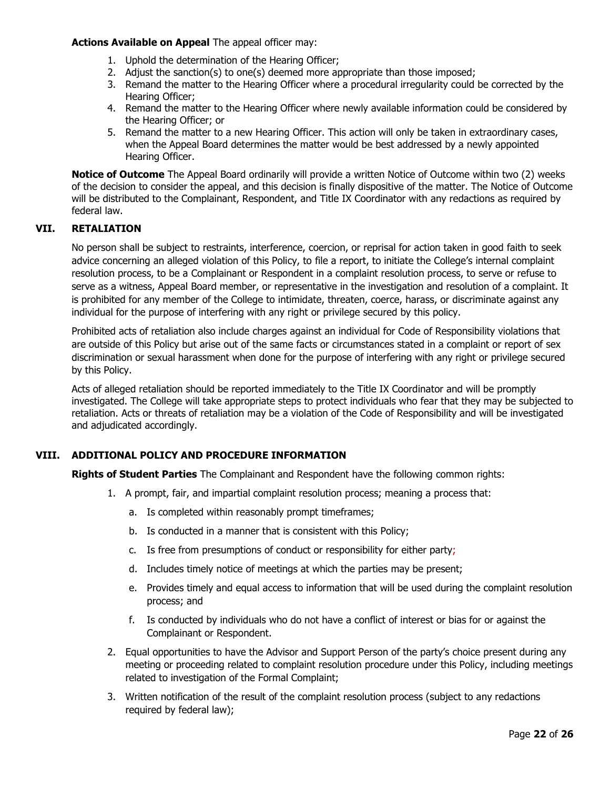#### **Actions Available on Appeal** The appeal officer may:

- 1. Uphold the determination of the Hearing Officer;
- 2. Adjust the sanction(s) to one(s) deemed more appropriate than those imposed;
- 3. Remand the matter to the Hearing Officer where a procedural irregularity could be corrected by the Hearing Officer;
- 4. Remand the matter to the Hearing Officer where newly available information could be considered by the Hearing Officer; or
- 5. Remand the matter to a new Hearing Officer. This action will only be taken in extraordinary cases, when the Appeal Board determines the matter would be best addressed by a newly appointed Hearing Officer.

**Notice of Outcome** The Appeal Board ordinarily will provide a written Notice of Outcome within two (2) weeks of the decision to consider the appeal, and this decision is finally dispositive of the matter. The Notice of Outcome will be distributed to the Complainant, Respondent, and Title IX Coordinator with any redactions as required by federal law.

## **VII. RETALIATION**

No person shall be subject to restraints, interference, coercion, or reprisal for action taken in good faith to seek advice concerning an alleged violation of this Policy, to file a report, to initiate the College's internal complaint resolution process, to be a Complainant or Respondent in a complaint resolution process, to serve or refuse to serve as a witness, Appeal Board member, or representative in the investigation and resolution of a complaint. It is prohibited for any member of the College to intimidate, threaten, coerce, harass, or discriminate against any individual for the purpose of interfering with any right or privilege secured by this policy.

Prohibited acts of retaliation also include charges against an individual for Code of Responsibility violations that are outside of this Policy but arise out of the same facts or circumstances stated in a complaint or report of sex discrimination or sexual harassment when done for the purpose of interfering with any right or privilege secured by this Policy.

Acts of alleged retaliation should be reported immediately to the Title IX Coordinator and will be promptly investigated. The College will take appropriate steps to protect individuals who fear that they may be subjected to retaliation. Acts or threats of retaliation may be a violation of the Code of Responsibility and will be investigated and adjudicated accordingly.

## **VIII. ADDITIONAL POLICY AND PROCEDURE INFORMATION**

**Rights of Student Parties** The Complainant and Respondent have the following common rights:

- 1. A prompt, fair, and impartial complaint resolution process; meaning a process that:
	- a. Is completed within reasonably prompt timeframes;
	- b. Is conducted in a manner that is consistent with this Policy;
	- c. Is free from presumptions of conduct or responsibility for either party;
	- d. Includes timely notice of meetings at which the parties may be present;
	- e. Provides timely and equal access to information that will be used during the complaint resolution process; and
	- f. Is conducted by individuals who do not have a conflict of interest or bias for or against the Complainant or Respondent.
- 2. Equal opportunities to have the Advisor and Support Person of the party's choice present during any meeting or proceeding related to complaint resolution procedure under this Policy, including meetings related to investigation of the Formal Complaint;
- 3. Written notification of the result of the complaint resolution process (subject to any redactions required by federal law);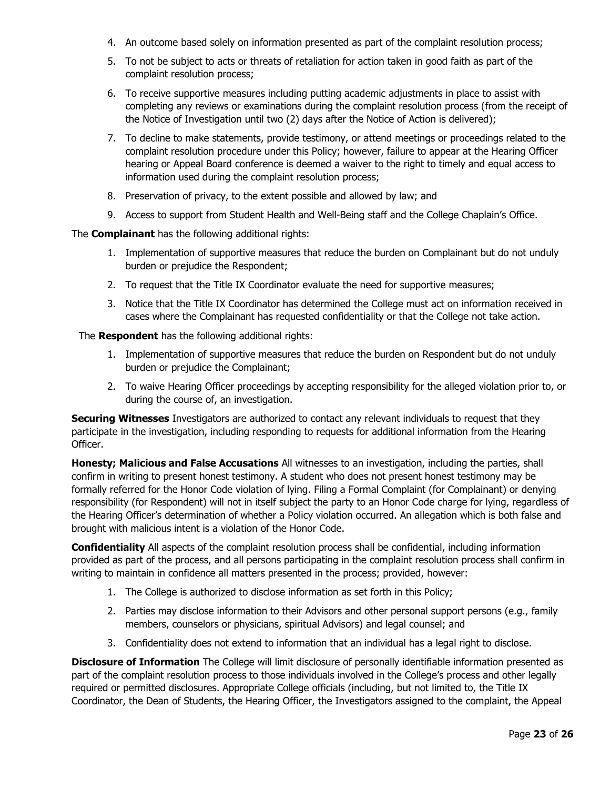- 4. An outcome based solely on information presented as part of the complaint resolution process;
- 5. To not be subject to acts or threats of retaliation for action taken in good faith as part of the complaint resolution process;
- 6. To receive supportive measures including putting academic adjustments in place to assist with completing any reviews or examinations during the complaint resolution process (from the receipt of the Notice of Investigation until two (2) days after the Notice of Action is delivered);
- 7. To decline to make statements, provide testimony, or attend meetings or proceedings related to the complaint resolution procedure under this Policy; however, failure to appear at the Hearing Officer hearing or Appeal Board conference is deemed a waiver to the right to timely and equal access to information used during the complaint resolution process;
- 8. Preservation of privacy, to the extent possible and allowed by law; and
- 9. Access to support from Student Health and Well-Being staff and the College Chaplain's Office.

The **Complainant** has the following additional rights:

- 1. Implementation of supportive measures that reduce the burden on Complainant but do not unduly burden or prejudice the Respondent;
- 2. To request that the Title IX Coordinator evaluate the need for supportive measures;
- 3. Notice that the Title IX Coordinator has determined the College must act on information received in cases where the Complainant has requested confidentiality or that the College not take action.

The **Respondent** has the following additional rights:

- 1. Implementation of supportive measures that reduce the burden on Respondent but do not unduly burden or prejudice the Complainant;
- 2. To waive Hearing Officer proceedings by accepting responsibility for the alleged violation prior to, or during the course of, an investigation.

**Securing Witnesses** Investigators are authorized to contact any relevant individuals to request that they participate in the investigation, including responding to requests for additional information from the Hearing Officer.

**Honesty; Malicious and False Accusations** All witnesses to an investigation, including the parties, shall confirm in writing to present honest testimony. A student who does not present honest testimony may be formally referred for the Honor Code violation of lying. Filing a Formal Complaint (for Complainant) or denying responsibility (for Respondent) will not in itself subject the party to an Honor Code charge for lying, regardless of the Hearing Officer's determination of whether a Policy violation occurred. An allegation which is both false and brought with malicious intent is a violation of the Honor Code.

**Confidentiality** All aspects of the complaint resolution process shall be confidential, including information provided as part of the process, and all persons participating in the complaint resolution process shall confirm in writing to maintain in confidence all matters presented in the process; provided, however:

- 1. The College is authorized to disclose information as set forth in this Policy;
- 2. Parties may disclose information to their Advisors and other personal support persons (e.g., family members, counselors or physicians, spiritual Advisors) and legal counsel; and
- 3. Confidentiality does not extend to information that an individual has a legal right to disclose.

**Disclosure of Information** The College will limit disclosure of personally identifiable information presented as part of the complaint resolution process to those individuals involved in the College's process and other legally required or permitted disclosures. Appropriate College officials (including, but not limited to, the Title IX Coordinator, the Dean of Students, the Hearing Officer, the Investigators assigned to the complaint, the Appeal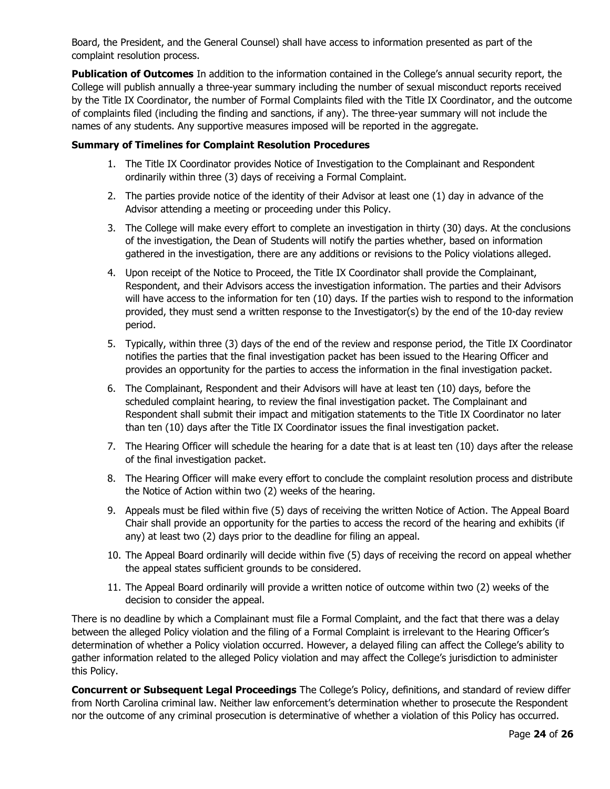Board, the President, and the General Counsel) shall have access to information presented as part of the complaint resolution process.

**Publication of Outcomes** In addition to the information contained in the College's annual security report, the College will publish annually a three-year summary including the number of sexual misconduct reports received by the Title IX Coordinator, the number of Formal Complaints filed with the Title IX Coordinator, and the outcome of complaints filed (including the finding and sanctions, if any). The three-year summary will not include the names of any students. Any supportive measures imposed will be reported in the aggregate.

# **Summary of Timelines for Complaint Resolution Procedures**

- 1. The Title IX Coordinator provides Notice of Investigation to the Complainant and Respondent ordinarily within three (3) days of receiving a Formal Complaint.
- 2. The parties provide notice of the identity of their Advisor at least one (1) day in advance of the Advisor attending a meeting or proceeding under this Policy.
- 3. The College will make every effort to complete an investigation in thirty (30) days. At the conclusions of the investigation, the Dean of Students will notify the parties whether, based on information gathered in the investigation, there are any additions or revisions to the Policy violations alleged.
- 4. Upon receipt of the Notice to Proceed, the Title IX Coordinator shall provide the Complainant, Respondent, and their Advisors access the investigation information. The parties and their Advisors will have access to the information for ten (10) days. If the parties wish to respond to the information provided, they must send a written response to the Investigator(s) by the end of the 10-day review period.
- 5. Typically, within three (3) days of the end of the review and response period, the Title IX Coordinator notifies the parties that the final investigation packet has been issued to the Hearing Officer and provides an opportunity for the parties to access the information in the final investigation packet.
- 6. The Complainant, Respondent and their Advisors will have at least ten (10) days, before the scheduled complaint hearing, to review the final investigation packet. The Complainant and Respondent shall submit their impact and mitigation statements to the Title IX Coordinator no later than ten (10) days after the Title IX Coordinator issues the final investigation packet.
- 7. The Hearing Officer will schedule the hearing for a date that is at least ten (10) days after the release of the final investigation packet.
- 8. The Hearing Officer will make every effort to conclude the complaint resolution process and distribute the Notice of Action within two (2) weeks of the hearing.
- 9. Appeals must be filed within five (5) days of receiving the written Notice of Action. The Appeal Board Chair shall provide an opportunity for the parties to access the record of the hearing and exhibits (if any) at least two (2) days prior to the deadline for filing an appeal.
- 10. The Appeal Board ordinarily will decide within five (5) days of receiving the record on appeal whether the appeal states sufficient grounds to be considered.
- 11. The Appeal Board ordinarily will provide a written notice of outcome within two (2) weeks of the decision to consider the appeal.

There is no deadline by which a Complainant must file a Formal Complaint, and the fact that there was a delay between the alleged Policy violation and the filing of a Formal Complaint is irrelevant to the Hearing Officer's determination of whether a Policy violation occurred. However, a delayed filing can affect the College's ability to gather information related to the alleged Policy violation and may affect the College's jurisdiction to administer this Policy.

**Concurrent or Subsequent Legal Proceedings** The College's Policy, definitions, and standard of review differ from North Carolina criminal law. Neither law enforcement's determination whether to prosecute the Respondent nor the outcome of any criminal prosecution is determinative of whether a violation of this Policy has occurred.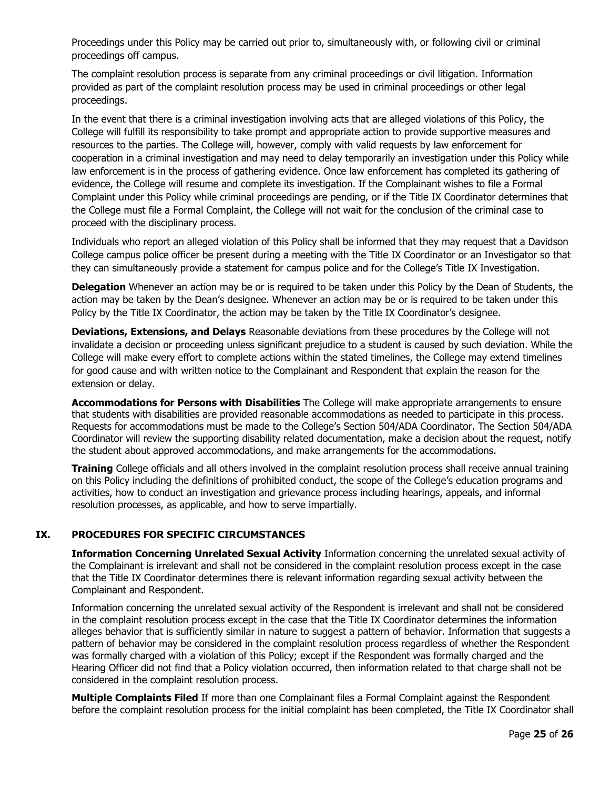Proceedings under this Policy may be carried out prior to, simultaneously with, or following civil or criminal proceedings off campus.

The complaint resolution process is separate from any criminal proceedings or civil litigation. Information provided as part of the complaint resolution process may be used in criminal proceedings or other legal proceedings.

In the event that there is a criminal investigation involving acts that are alleged violations of this Policy, the College will fulfill its responsibility to take prompt and appropriate action to provide supportive measures and resources to the parties. The College will, however, comply with valid requests by law enforcement for cooperation in a criminal investigation and may need to delay temporarily an investigation under this Policy while law enforcement is in the process of gathering evidence. Once law enforcement has completed its gathering of evidence, the College will resume and complete its investigation. If the Complainant wishes to file a Formal Complaint under this Policy while criminal proceedings are pending, or if the Title IX Coordinator determines that the College must file a Formal Complaint, the College will not wait for the conclusion of the criminal case to proceed with the disciplinary process.

Individuals who report an alleged violation of this Policy shall be informed that they may request that a Davidson College campus police officer be present during a meeting with the Title IX Coordinator or an Investigator so that they can simultaneously provide a statement for campus police and for the College's Title IX Investigation.

**Delegation** Whenever an action may be or is required to be taken under this Policy by the Dean of Students, the action may be taken by the Dean's designee. Whenever an action may be or is required to be taken under this Policy by the Title IX Coordinator, the action may be taken by the Title IX Coordinator's designee.

**Deviations, Extensions, and Delays** Reasonable deviations from these procedures by the College will not invalidate a decision or proceeding unless significant prejudice to a student is caused by such deviation. While the College will make every effort to complete actions within the stated timelines, the College may extend timelines for good cause and with written notice to the Complainant and Respondent that explain the reason for the extension or delay.

**Accommodations for Persons with Disabilities** The College will make appropriate arrangements to ensure that students with disabilities are provided reasonable accommodations as needed to participate in this process. Requests for accommodations must be made to the College's Section 504/ADA Coordinator. The Section 504/ADA Coordinator will review the supporting disability related documentation, make a decision about the request, notify the student about approved accommodations, and make arrangements for the accommodations.

**Training** College officials and all others involved in the complaint resolution process shall receive annual training on this Policy including the definitions of prohibited conduct, the scope of the College's education programs and activities, how to conduct an investigation and grievance process including hearings, appeals, and informal resolution processes, as applicable, and how to serve impartially.

# **IX. PROCEDURES FOR SPECIFIC CIRCUMSTANCES**

**Information Concerning Unrelated Sexual Activity** Information concerning the unrelated sexual activity of the Complainant is irrelevant and shall not be considered in the complaint resolution process except in the case that the Title IX Coordinator determines there is relevant information regarding sexual activity between the Complainant and Respondent.

Information concerning the unrelated sexual activity of the Respondent is irrelevant and shall not be considered in the complaint resolution process except in the case that the Title IX Coordinator determines the information alleges behavior that is sufficiently similar in nature to suggest a pattern of behavior. Information that suggests a pattern of behavior may be considered in the complaint resolution process regardless of whether the Respondent was formally charged with a violation of this Policy; except if the Respondent was formally charged and the Hearing Officer did not find that a Policy violation occurred, then information related to that charge shall not be considered in the complaint resolution process.

**Multiple Complaints Filed** If more than one Complainant files a Formal Complaint against the Respondent before the complaint resolution process for the initial complaint has been completed, the Title IX Coordinator shall